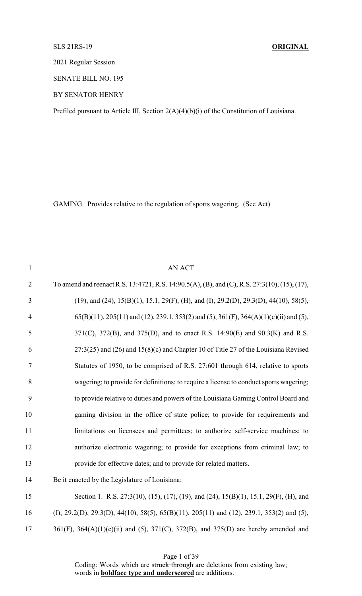# SLS 21RS-19 **ORIGINAL**

2021 Regular Session

SENATE BILL NO. 195

BY SENATOR HENRY

Prefiled pursuant to Article III, Section 2(A)(4)(b)(i) of the Constitution of Louisiana.

GAMING. Provides relative to the regulation of sports wagering. (See Act)

| $\mathbf{1}$   | <b>AN ACT</b>                                                                                                 |
|----------------|---------------------------------------------------------------------------------------------------------------|
| $\overline{2}$ | To amend and reenact R.S. 13:4721, R.S. 14:90.5(A), (B), and (C), R.S. 27:3(10), (15), (17),                  |
| 3              | (19), and (24), 15(B)(1), 15.1, 29(F), (H), and (I), 29.2(D), 29.3(D), 44(10), 58(5),                         |
| $\overline{4}$ | $65(B)(11)$ , $205(11)$ and $(12)$ , $239.1$ , $353(2)$ and $(5)$ , $361(F)$ , $364(A)(1)(c)(ii)$ and $(5)$ , |
| 5              | 371(C), 372(B), and 375(D), and to enact R.S. 14:90(E) and 90.3(K) and R.S.                                   |
| 6              | $27:3(25)$ and $(26)$ and $15(8)(c)$ and Chapter 10 of Title 27 of the Louisiana Revised                      |
| $\tau$         | Statutes of 1950, to be comprised of R.S. 27:601 through 614, relative to sports                              |
| 8              | wagering; to provide for definitions; to require a license to conduct sports wagering;                        |
| 9              | to provide relative to duties and powers of the Louisiana Gaming Control Board and                            |
| 10             | gaming division in the office of state police; to provide for requirements and                                |
| 11             | limitations on licensees and permittees; to authorize self-service machines; to                               |
| 12             | authorize electronic wagering; to provide for exceptions from criminal law; to                                |
| 13             | provide for effective dates; and to provide for related matters.                                              |
| 14             | Be it enacted by the Legislature of Louisiana:                                                                |
| 15             | Section 1. R.S. 27:3(10), (15), (17), (19), and (24), 15(B)(1), 15.1, 29(F), (H), and                         |
| 16             | (I), 29.2(D), 29.3(D), 44(10), 58(5), 65(B)(11), 205(11) and (12), 239.1, 353(2) and (5),                     |
| 17             | $361(F)$ , $364(A)(1)(c)(ii)$ and (5), $371(C)$ , $372(B)$ , and $375(D)$ are hereby amended and              |
|                |                                                                                                               |

Page 1 of 39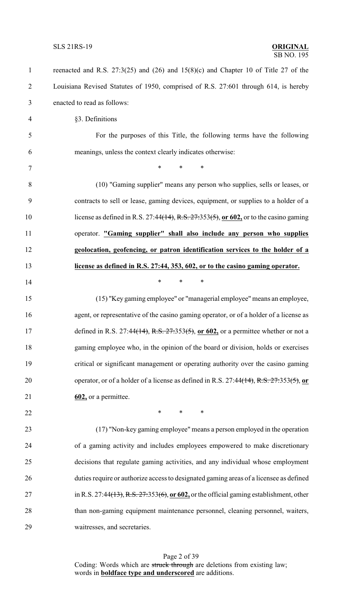| $\mathbf{1}$   | reenacted and R.S. 27:3(25) and (26) and $15(8)(c)$ and Chapter 10 of Title 27 of the              |
|----------------|----------------------------------------------------------------------------------------------------|
| $\overline{2}$ | Louisiana Revised Statutes of 1950, comprised of R.S. 27:601 through 614, is hereby                |
| 3              | enacted to read as follows:                                                                        |
| $\overline{4}$ | §3. Definitions                                                                                    |
| 5              | For the purposes of this Title, the following terms have the following                             |
| 6              | meanings, unless the context clearly indicates otherwise:                                          |
| $\tau$         | $\ast$<br>$\ast$<br>∗                                                                              |
| 8              | (10) "Gaming supplier" means any person who supplies, sells or leases, or                          |
| 9              | contracts to sell or lease, gaming devices, equipment, or supplies to a holder of a                |
| 10             | license as defined in R.S. 27:44 <del>(14), R.S. 27:353(5)</del> , or 602, or to the casino gaming |
| 11             | operator. "Gaming supplier" shall also include any person who supplies                             |
| 12             | geolocation, geofencing, or patron identification services to the holder of a                      |
| 13             | license as defined in R.S. 27:44, 353, 602, or to the casino gaming operator.                      |
| 14             | $\ast$<br>$\ast$<br>$\ast$                                                                         |
| 15             | (15) "Key gaming employee" or "managerial employee" means an employee,                             |
| 16             | agent, or representative of the casino gaming operator, or of a holder of a license as             |
| 17             | defined in R.S. 27:44 <del>(14), R.S. 27:353(5)</del> , or 602, or a permittee whether or not a    |
| 18             | gaming employee who, in the opinion of the board or division, holds or exercises                   |
| 19             | critical or significant management or operating authority over the casino gaming                   |
| 20             | operator, or of a holder of a license as defined in R.S. 27:44(14), R.S. 27:353(5), or             |
| 21             | 602, or a permittee.                                                                               |
| 22             | $\ast$<br>$\ast$<br>∗                                                                              |
| 23             | (17) "Non-key gaming employee" means a person employed in the operation                            |
| 24             | of a gaming activity and includes employees empowered to make discretionary                        |
| 25             | decisions that regulate gaming activities, and any individual whose employment                     |
| 26             | duties require or authorize access to designated gaming areas of a licensee as defined             |
| 27             | in R.S. 27:44(13), R.S. $27:353(6)$ , or $602$ , or the official gaming establishment, other       |
| 28             | than non-gaming equipment maintenance personnel, cleaning personnel, waiters,                      |
| 29             | waitresses, and secretaries.                                                                       |
|                |                                                                                                    |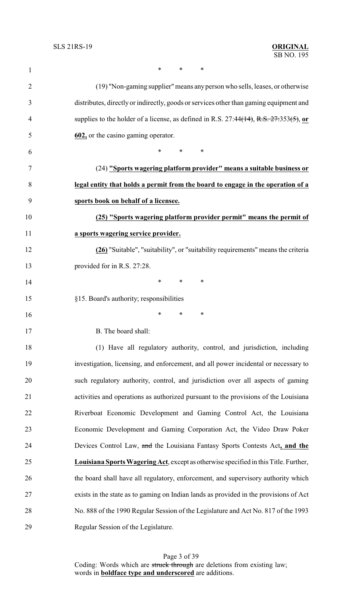| $\mathbf{1}$   | *<br>*<br>∗                                                                                  |
|----------------|----------------------------------------------------------------------------------------------|
| $\overline{2}$ | (19) "Non-gaming supplier" means any person who sells, leases, or otherwise                  |
| 3              | distributes, directly or indirectly, goods or services other than gaming equipment and       |
| 4              | supplies to the holder of a license, as defined in R.S. $27:44(14)$ , R.S. $27:353(5)$ , or  |
| 5              | 602, or the casino gaming operator.                                                          |
| 6              | $\ast$<br>$\ast$<br>∗                                                                        |
| 7              | (24) "Sports wagering platform provider" means a suitable business or                        |
| 8              | legal entity that holds a permit from the board to engage in the operation of a              |
| 9              | sports book on behalf of a licensee.                                                         |
| 10             | (25) "Sports wagering platform provider permit" means the permit of                          |
| 11             | a sports wagering service provider.                                                          |
| 12             | (26) "Suitable", "suitability", or "suitability requirements" means the criteria             |
| 13             | provided for in R.S. 27:28.                                                                  |
| 14             | ∗<br>∗<br>∗                                                                                  |
| 15             | §15. Board's authority; responsibilities                                                     |
| 16             | ∗<br>*<br>∗                                                                                  |
| 17             | B. The board shall:                                                                          |
| 18             | (1) Have all regulatory authority, control, and jurisdiction, including                      |
| 19             | investigation, licensing, and enforcement, and all power incidental or necessary to          |
| 20             | such regulatory authority, control, and jurisdiction over all aspects of gaming              |
| 21             | activities and operations as authorized pursuant to the provisions of the Louisiana          |
| 22             | Riverboat Economic Development and Gaming Control Act, the Louisiana                         |
| 23             | Economic Development and Gaming Corporation Act, the Video Draw Poker                        |
| 24             | Devices Control Law, and the Louisiana Fantasy Sports Contests Act, and the                  |
| 25             | <b>Louisiana Sports Wagering Act</b> , except as otherwise specified in this Title. Further, |
| 26             | the board shall have all regulatory, enforcement, and supervisory authority which            |
| 27             | exists in the state as to gaming on Indian lands as provided in the provisions of Act        |
| 28             | No. 888 of the 1990 Regular Session of the Legislature and Act No. 817 of the 1993           |
| 29             | Regular Session of the Legislature.                                                          |

Page 3 of 39 Coding: Words which are struck through are deletions from existing law; words in **boldface type and underscored** are additions.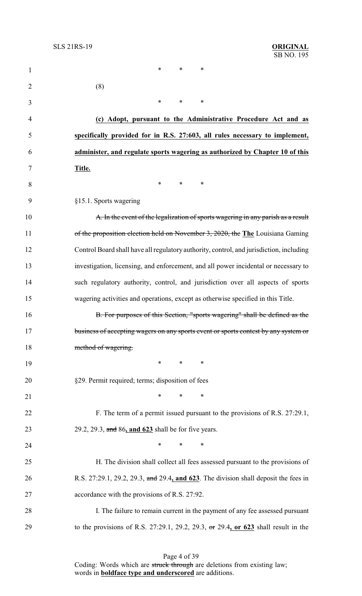| $\mathbf{1}$   | $\ast$<br>$\ast$<br>$\ast$                                                              |
|----------------|-----------------------------------------------------------------------------------------|
| $\overline{2}$ | (8)                                                                                     |
| 3              | $\ast$<br>$\ast$<br>$\ast$                                                              |
| 4              | (c) Adopt, pursuant to the Administrative Procedure Act and as                          |
| 5              | specifically provided for in R.S. 27:603, all rules necessary to implement,             |
| 6              | administer, and regulate sports wagering as authorized by Chapter 10 of this            |
| 7              | Title.                                                                                  |
| 8              | $\ast$<br>$\ast$<br>$\ast$                                                              |
| 9              | §15.1. Sports wagering                                                                  |
| 10             | A. In the event of the legalization of sports wagering in any parish as a result        |
| 11             | of the proposition election held on November 3, 2020, the The Louisiana Gaming          |
| 12             | Control Board shall have all regulatory authority, control, and jurisdiction, including |
| 13             | investigation, licensing, and enforcement, and all power incidental or necessary to     |
| 14             | such regulatory authority, control, and jurisdiction over all aspects of sports         |
| 15             | wagering activities and operations, except as otherwise specified in this Title.        |
| 16             | B. For purposes of this Section, "sports wagering" shall be defined as the              |
| 17             | business of accepting wagers on any sports event or sports contest by any system or     |
| 18             | method of wagering.                                                                     |
| 19             | $\ast$<br>$\ast$<br>∗                                                                   |
| 20             | §29. Permit required; terms; disposition of fees                                        |
| 21             | $\ast$<br>$\ast$<br>$\ast$                                                              |
| 22             | F. The term of a permit issued pursuant to the provisions of R.S. 27:29.1,              |
| 23             | 29.2, 29.3, and 86, and 623 shall be for five years.                                    |
| 24             | $\ast$<br>$\ast$<br>∗                                                                   |
| 25             | H. The division shall collect all fees assessed pursuant to the provisions of           |
| 26             | R.S. 27:29.1, 29.2, 29.3, and 29.4, and 623. The division shall deposit the fees in     |
| 27             | accordance with the provisions of R.S. 27:92.                                           |
| 28             | I. The failure to remain current in the payment of any fee assessed pursuant            |
| 29             | to the provisions of R.S. 27:29.1, 29.2, 29.3, or 29.4, or 623 shall result in the      |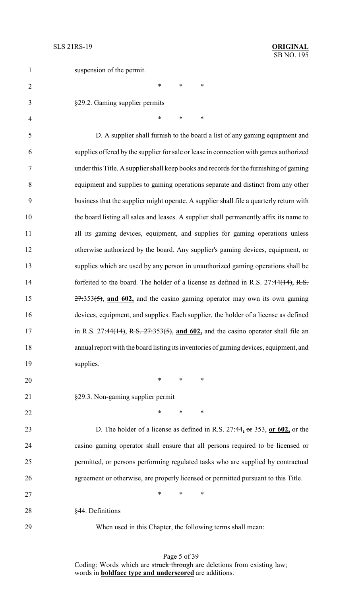| $\mathbf{1}$   | suspension of the permit.                                                               |
|----------------|-----------------------------------------------------------------------------------------|
| $\overline{2}$ | $\ast$<br>$\ast$<br>*                                                                   |
| 3              | §29.2. Gaming supplier permits                                                          |
| $\overline{4}$ | $\ast$<br>∗<br>*                                                                        |
| 5              | D. A supplier shall furnish to the board a list of any gaming equipment and             |
| 6              | supplies offered by the supplier for sale or lease in connection with games authorized  |
| $\overline{7}$ | under this Title. A supplier shall keep books and records for the furnishing of gaming  |
| 8              | equipment and supplies to gaming operations separate and distinct from any other        |
| 9              | business that the supplier might operate. A supplier shall file a quarterly return with |
| 10             | the board listing all sales and leases. A supplier shall permanently affix its name to  |
| 11             | all its gaming devices, equipment, and supplies for gaming operations unless            |
| 12             | otherwise authorized by the board. Any supplier's gaming devices, equipment, or         |
| 13             | supplies which are used by any person in unauthorized gaming operations shall be        |
| 14             | forfeited to the board. The holder of a license as defined in R.S. $27:44(14)$ , R.S.   |
| 15             | $27:353(5)$ , and 602, and the casino gaming operator may own its own gaming            |
| 16             | devices, equipment, and supplies. Each supplier, the holder of a license as defined     |
| 17             | in R.S. 27:44(14), R.S. $27:353(5)$ , and 602, and the casino operator shall file an    |
| 18             | annual report with the board listing its inventories of gaming devices, equipment, and  |
| 19             | supplies.                                                                               |
| 20             | $\ast$<br>$\ast$<br>$\ast$                                                              |
| 21             | §29.3. Non-gaming supplier permit                                                       |
| 22             | $\ast$<br>$\ast$<br>$\ast$                                                              |
| 23             | D. The holder of a license as defined in R.S. $27:44$ , or $353$ , or $602$ , or the    |
| 24             | casino gaming operator shall ensure that all persons required to be licensed or         |
| 25             | permitted, or persons performing regulated tasks who are supplied by contractual        |
| 26             | agreement or otherwise, are properly licensed or permitted pursuant to this Title.      |
| 27             | $\ast$<br>$\ast$<br>$\ast$                                                              |
| 28             | §44. Definitions                                                                        |
| 29             | When used in this Chapter, the following terms shall mean:                              |

Page 5 of 39 Coding: Words which are struck through are deletions from existing law; words in **boldface type and underscored** are additions.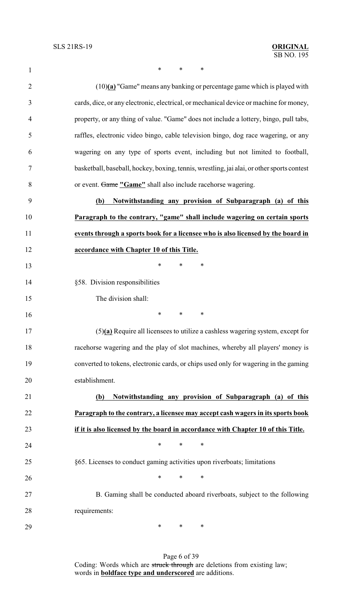1 \* \* \* \* (10)**(a)** "Game" means any banking or percentage game which is played with cards, dice, or any electronic, electrical, or mechanical device or machine for money, property, or any thing of value. "Game" does not include a lottery, bingo, pull tabs, raffles, electronic video bingo, cable television bingo, dog race wagering, or any wagering on any type of sports event, including but not limited to football, basketball, baseball, hockey, boxing, tennis, wrestling, jai alai, or other sports contest or event. Game **"Game"** shall also include racehorse wagering. **(b) Notwithstanding any provision of Subparagraph (a) of this Paragraph to the contrary, "game" shall include wagering on certain sports events through a sports book for a licensee who is also licensed by the board in accordance with Chapter 10 of this Title. \*** \* \* \* §58. Division responsibilities The division shall: \* \* \* (5)**(a)** Require all licensees to utilize a cashless wagering system, except for racehorse wagering and the play of slot machines, whereby all players' money is converted to tokens, electronic cards, or chips used only for wagering in the gaming establishment. **(b) Notwithstanding any provision of Subparagraph (a) of this Paragraph to the contrary, a licensee may accept cash wagers in its sports book if it is also licensed by the board in accordance with Chapter 10 of this Title. \*** \* \* \* §65. Licenses to conduct gaming activities upon riverboats; limitations  $*$  \* \* \* B. Gaming shall be conducted aboard riverboats, subject to the following requirements:

> Page 6 of 39 Coding: Words which are struck through are deletions from existing law; words in **boldface type and underscored** are additions.

\* \* \*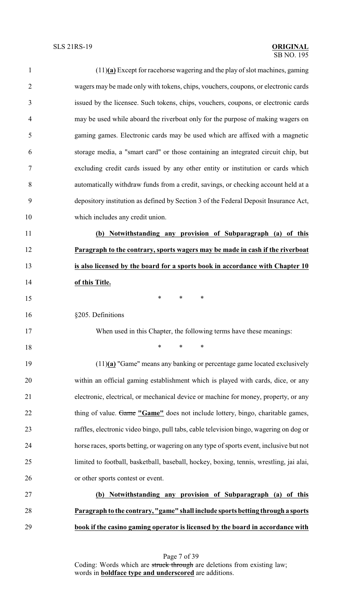## SB NO. 195 SLS 21RS-19 **ORIGINAL**

| $\mathbf{1}$   | $(11)(a)$ Except for racehorse wagering and the play of slot machines, gaming           |
|----------------|-----------------------------------------------------------------------------------------|
| $\overline{2}$ | wagers may be made only with tokens, chips, vouchers, coupons, or electronic cards      |
| 3              | issued by the licensee. Such tokens, chips, vouchers, coupons, or electronic cards      |
| $\overline{4}$ | may be used while aboard the riverboat only for the purpose of making wagers on         |
| 5              | gaming games. Electronic cards may be used which are affixed with a magnetic            |
| 6              | storage media, a "smart card" or those containing an integrated circuit chip, but       |
| $\tau$         | excluding credit cards issued by any other entity or institution or cards which         |
| 8              | automatically withdraw funds from a credit, savings, or checking account held at a      |
| 9              | depository institution as defined by Section 3 of the Federal Deposit Insurance Act,    |
| 10             | which includes any credit union.                                                        |
| 11             | (b) Notwithstanding any provision of Subparagraph (a) of this                           |
| 12             | Paragraph to the contrary, sports wagers may be made in cash if the riverboat           |
| 13             | is also licensed by the board for a sports book in accordance with Chapter 10           |
| 14             | of this Title.                                                                          |
| 15             | $\ast$<br>$\ast$<br>∗                                                                   |
| 16             | §205. Definitions                                                                       |
| 17             | When used in this Chapter, the following terms have these meanings:                     |
| 18             | *<br>$\ast$<br>∗                                                                        |
| 19             | $(11)(a)$ "Game" means any banking or percentage game located exclusively               |
| 20             | within an official gaming establishment which is played with cards, dice, or any        |
| 21             | electronic, electrical, or mechanical device or machine for money, property, or any     |
| 22             | thing of value. Game "Game" does not include lottery, bingo, charitable games,          |
| 23             | raffles, electronic video bingo, pull tabs, cable television bingo, wagering on dog or  |
| 24             | horse races, sports betting, or wagering on any type of sports event, inclusive but not |
| 25             | limited to football, basketball, baseball, hockey, boxing, tennis, wrestling, jai alai, |
| 26             | or other sports contest or event.                                                       |
| 27             | (b) Notwithstanding any provision of Subparagraph (a) of this                           |
| 28             | Paragraph to the contrary, "game" shall include sports betting through a sports         |
| 29             | book if the casino gaming operator is licensed by the board in accordance with          |
|                |                                                                                         |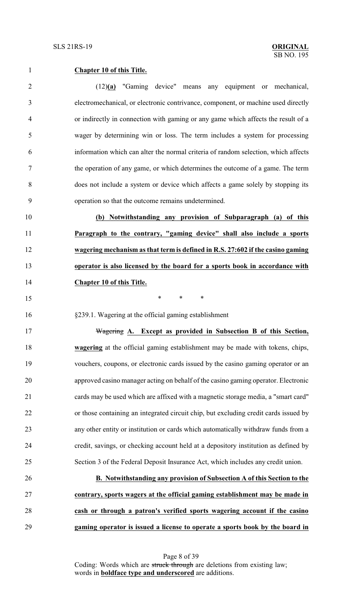## **Chapter 10 of this Title.**

 (12)**(a)** "Gaming device" means any equipment or mechanical, electromechanical, or electronic contrivance, component, or machine used directly or indirectly in connection with gaming or any game which affects the result of a wager by determining win or loss. The term includes a system for processing information which can alter the normal criteria of random selection, which affects the operation of any game, or which determines the outcome of a game. The term does not include a system or device which affects a game solely by stopping its operation so that the outcome remains undetermined.

 **(b) Notwithstanding any provision of Subparagraph (a) of this Paragraph to the contrary, "gaming device" shall also include a sports wagering mechanism as that term is defined in R.S. 27:602 if the casino gaming operator is also licensed by the board for a sports book in accordance with Chapter 10 of this Title.**

- \* \* \*
- §239.1. Wagering at the official gaming establishment

 Wagering **A. Except as provided in Subsection B of this Section, wagering** at the official gaming establishment may be made with tokens, chips, vouchers, coupons, or electronic cards issued by the casino gaming operator or an approved casino manager acting on behalf of the casino gaming operator. Electronic cards may be used which are affixed with a magnetic storage media, a "smart card" or those containing an integrated circuit chip, but excluding credit cards issued by any other entity or institution or cards which automatically withdraw funds from a credit, savings, or checking account held at a depository institution as defined by Section 3 of the Federal Deposit Insurance Act, which includes any credit union.

 **B. Notwithstanding any provision of Subsection A of this Section to the contrary, sports wagers at the official gaming establishment may be made in cash or through a patron's verified sports wagering account if the casino gaming operator is issued a license to operate a sports book by the board in**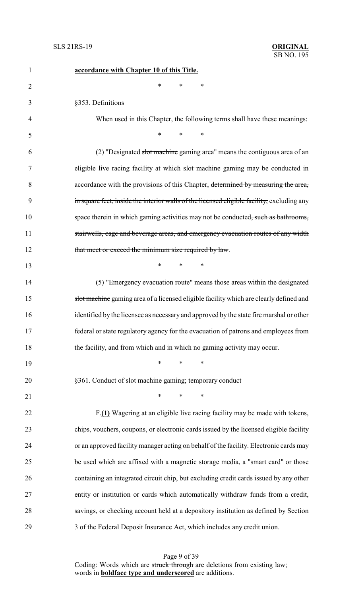| 1              | accordance with Chapter 10 of this Title.                                                  |
|----------------|--------------------------------------------------------------------------------------------|
| $\overline{2}$ | *<br>*<br>*                                                                                |
| 3              | §353. Definitions                                                                          |
| $\overline{4}$ | When used in this Chapter, the following terms shall have these meanings:                  |
| 5              | $\ast$<br>*<br>$\ast$                                                                      |
| 6              | (2) "Designated slot machine gaming area" means the contiguous area of an                  |
| 7              | eligible live racing facility at which slot machine gaming may be conducted in             |
| 8              | accordance with the provisions of this Chapter, determined by measuring the area,          |
| 9              | in square feet, inside the interior walls of the licensed eligible facility, excluding any |
| 10             | space therein in which gaming activities may not be conducted, such as bathrooms,          |
| 11             | stairwells, cage and beverage areas, and emergency evacuation routes of any width          |
| 12             | that meet or exceed the minimum size required by law.                                      |
| 13             | $\ast$<br>$\ast$<br>∗                                                                      |
| 14             | (5) "Emergency evacuation route" means those areas within the designated                   |
| 15             | slot machine gaming area of a licensed eligible facility which are clearly defined and     |
| 16             | identified by the licensee as necessary and approved by the state fire marshal or other    |
| 17             | federal or state regulatory agency for the evacuation of patrons and employees from        |
| 18             | the facility, and from which and in which no gaming activity may occur.                    |
| 19             | $\ast$<br>$\ast$<br>∗                                                                      |
| 20             | §361. Conduct of slot machine gaming; temporary conduct                                    |
| 21             | $\ast$<br>$\ast$<br>$\ast$                                                                 |
| 22             | F.(1) Wagering at an eligible live racing facility may be made with tokens,                |
| 23             | chips, vouchers, coupons, or electronic cards issued by the licensed eligible facility     |
| 24             | or an approved facility manager acting on behalf of the facility. Electronic cards may     |
| 25             | be used which are affixed with a magnetic storage media, a "smart card" or those           |
| 26             | containing an integrated circuit chip, but excluding credit cards issued by any other      |
| 27             | entity or institution or cards which automatically withdraw funds from a credit,           |
| 28             | savings, or checking account held at a depository institution as defined by Section        |
| 29             | 3 of the Federal Deposit Insurance Act, which includes any credit union.                   |

Page 9 of 39 Coding: Words which are struck through are deletions from existing law; words in **boldface type and underscored** are additions.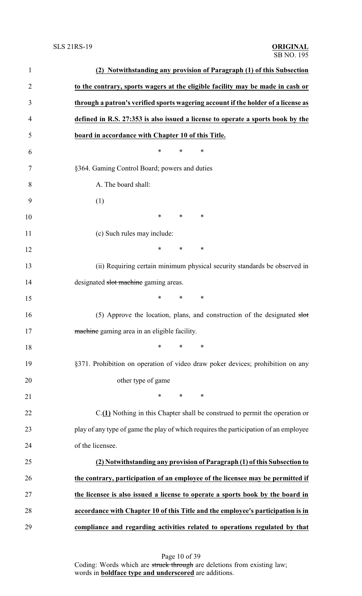| $\mathbf{1}$   | (2) Notwithstanding any provision of Paragraph (1) of this Subsection                |
|----------------|--------------------------------------------------------------------------------------|
| $\overline{2}$ | to the contrary, sports wagers at the eligible facility may be made in cash or       |
| 3              | through a patron's verified sports wagering account if the holder of a license as    |
| $\overline{4}$ | defined in R.S. 27:353 is also issued a license to operate a sports book by the      |
| 5              | board in accordance with Chapter 10 of this Title.                                   |
| 6              | $\ast$<br>∗<br>∗                                                                     |
| 7              | §364. Gaming Control Board; powers and duties                                        |
| 8              | A. The board shall:                                                                  |
| 9              | (1)                                                                                  |
| 10             | $\ast$<br>$\ast$<br>∗                                                                |
| 11             | (c) Such rules may include:                                                          |
| 12             | *<br>$\ast$<br>∗                                                                     |
| 13             | (ii) Requiring certain minimum physical security standards be observed in            |
| 14             | designated slot machine gaming areas.                                                |
| 15             | *<br>∗<br>∗                                                                          |
| 16             | (5) Approve the location, plans, and construction of the designated $s$ bot          |
| 17             | machine gaming area in an eligible facility.                                         |
| 18             | $\ast$<br>*<br>∗                                                                     |
| 19             | §371. Prohibition on operation of video draw poker devices; prohibition on any       |
| 20             | other type of game                                                                   |
| 21             | ∗<br>$*$ and $*$<br>∗                                                                |
| 22             | C.(1) Nothing in this Chapter shall be construed to permit the operation or          |
| 23             | play of any type of game the play of which requires the participation of an employee |
| 24             | of the licensee.                                                                     |
| 25             | (2) Notwithstanding any provision of Paragraph (1) of this Subsection to             |
| 26             | the contrary, participation of an employee of the licensee may be permitted if       |
| 27             | the licensee is also issued a license to operate a sports book by the board in       |
| 28             | accordance with Chapter 10 of this Title and the employee's participation is in      |
| 29             | compliance and regarding activities related to operations regulated by that          |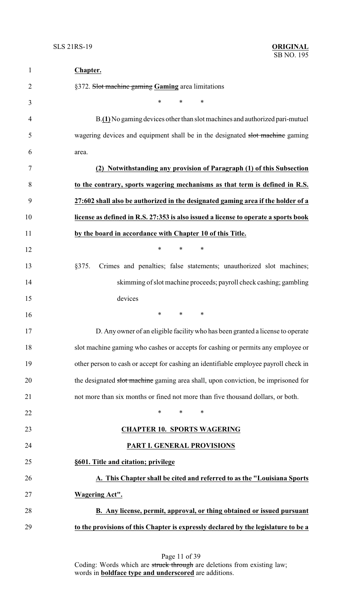| $\mathbf{1}$   | Chapter.                                                                             |
|----------------|--------------------------------------------------------------------------------------|
| $\overline{2}$ | §372. Slot machine gaming Gaming area limitations                                    |
| 3              | $\ast$<br>*<br>∗                                                                     |
| 4              | B.(1) No gaming devices other than slot machines and authorized pari-mutuel          |
| 5              | wagering devices and equipment shall be in the designated slot machine gaming        |
| 6              | area.                                                                                |
| 7              | (2) Notwithstanding any provision of Paragraph (1) of this Subsection                |
| 8              | to the contrary, sports wagering mechanisms as that term is defined in R.S.          |
| 9              | 27:602 shall also be authorized in the designated gaming area if the holder of a     |
| 10             | license as defined in R.S. 27:353 is also issued a license to operate a sports book  |
| 11             | by the board in accordance with Chapter 10 of this Title.                            |
| 12             | $\ast$<br>*<br>∗                                                                     |
| 13             | Crimes and penalties; false statements; unauthorized slot machines;<br>§375.         |
| 14             | skimming of slot machine proceeds; payroll check cashing; gambling                   |
| 15             | devices                                                                              |
| 16             | $\ast$<br>$\ast$<br>∗                                                                |
| 17             | D. Any owner of an eligible facility who has been granted a license to operate       |
| 18             | slot machine gaming who cashes or accepts for cashing or permits any employee or     |
| 19             | other person to cash or accept for cashing an identifiable employee payroll check in |
| 20             | the designated slot machine gaming area shall, upon conviction, be imprisoned for    |
| 21             | not more than six months or fined not more than five thousand dollars, or both.      |
| 22             | $\ast$<br>*<br>∗                                                                     |
| 23             | <b>CHAPTER 10. SPORTS WAGERING</b>                                                   |
| 24             | PART I. GENERAL PROVISIONS                                                           |
| 25             | §601. Title and citation; privilege                                                  |
| 26             | A. This Chapter shall be cited and referred to as the "Louisiana Sports              |
| 27             | <b>Wagering Act".</b>                                                                |
| 28             | <b>B.</b> Any license, permit, approval, or thing obtained or issued pursuant        |
| 29             | to the provisions of this Chapter is expressly declared by the legislature to be a   |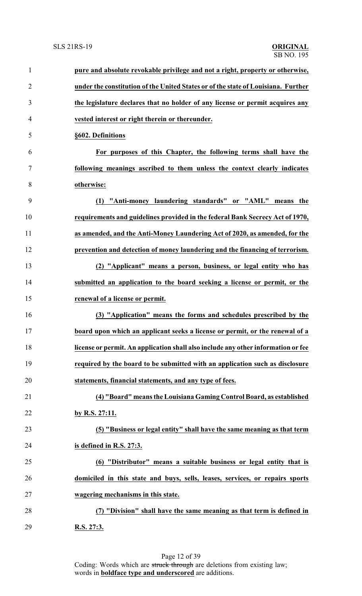| $\mathbf{1}$   | pure and absolute revokable privilege and not a right, property or otherwise,     |
|----------------|-----------------------------------------------------------------------------------|
| $\overline{2}$ | under the constitution of the United States or of the state of Louisiana. Further |
| 3              | the legislature declares that no holder of any license or permit acquires any     |
| $\overline{4}$ | vested interest or right therein or thereunder.                                   |
| 5              | §602. Definitions                                                                 |
| 6              | For purposes of this Chapter, the following terms shall have the                  |
| $\tau$         | following meanings ascribed to them unless the context clearly indicates          |
| 8              | otherwise:                                                                        |
| 9              | (1) "Anti-money laundering standards" or "AML" means the                          |
| 10             | requirements and guidelines provided in the federal Bank Secrecy Act of 1970,     |
| 11             | as amended, and the Anti-Money Laundering Act of 2020, as amended, for the        |
| 12             | prevention and detection of money laundering and the financing of terrorism.      |
| 13             | (2) "Applicant" means a person, business, or legal entity who has                 |
| 14             | submitted an application to the board seeking a license or permit, or the         |
| 15             | renewal of a license or permit.                                                   |
| 16             | (3) "Application" means the forms and schedules prescribed by the                 |
| 17             | board upon which an applicant seeks a license or permit, or the renewal of a      |
| 18             | license or permit. An application shall also include any other information or fee |
| 19             | required by the board to be submitted with an application such as disclosure      |
| 20             | statements, financial statements, and any type of fees.                           |
| 21             | (4) "Board" means the Louisiana Gaming Control Board, as established              |
| 22             | by R.S. 27:11.                                                                    |
| 23             | (5) "Business or legal entity" shall have the same meaning as that term           |
| 24             | is defined in R.S. 27:3.                                                          |
| 25             | (6) "Distributor" means a suitable business or legal entity that is               |
| 26             | domiciled in this state and buys, sells, leases, services, or repairs sports      |
| 27             | wagering mechanisms in this state.                                                |
| 28             | (7) "Division" shall have the same meaning as that term is defined in             |
| 29             | R.S. 27:3.                                                                        |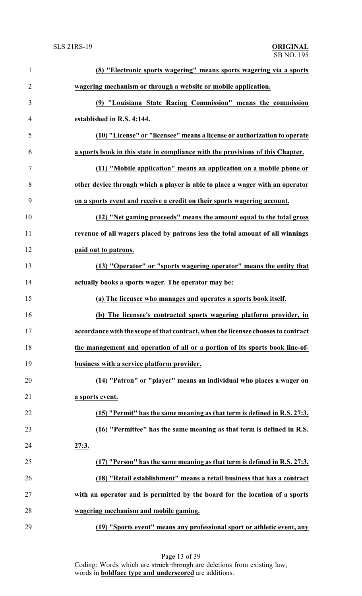| $\mathbf{1}$   | (8) "Electronic sports wagering" means sports wagering via a sports               |
|----------------|-----------------------------------------------------------------------------------|
| $\overline{2}$ | wagering mechanism or through a website or mobile application.                    |
| 3              | (9) "Louisiana State Racing Commission" means the commission                      |
| $\overline{4}$ | established in R.S. 4:144.                                                        |
| 5              | (10) "License" or "licensee" means a license or authorization to operate          |
| 6              | a sports book in this state in compliance with the provisions of this Chapter.    |
| $\tau$         | (11) "Mobile application" means an application on a mobile phone or               |
| 8              | other device through which a player is able to place a wager with an operator     |
| 9              | on a sports event and receive a credit on their sports wagering account.          |
| 10             | (12) "Net gaming proceeds" means the amount equal to the total gross              |
| 11             | revenue of all wagers placed by patrons less the total amount of all winnings     |
| 12             | paid out to patrons.                                                              |
| 13             | (13) "Operator" or "sports wagering operator" means the entity that               |
| 14             | actually books a sports wager. The operator may be:                               |
| 15             | (a) The licensee who manages and operates a sports book itself.                   |
| 16             | (b) The licensee's contracted sports wagering platform provider, in               |
| 17             | accordance with the scope of that contract, when the licensee chooses to contract |
| 18             | the management and operation of all or a portion of its sports book line-of-      |
| 19             | business with a service platform provider.                                        |
| 20             | (14) "Patron" or "player" means an individual who places a wager on               |
| 21             | a sports event.                                                                   |
| 22             | (15) "Permit" has the same meaning as that term is defined in R.S. 27:3.          |
| 23             | (16) "Permittee" has the same meaning as that term is defined in R.S.             |
| 24             | 27:3.                                                                             |
| 25             | (17) "Person" has the same meaning as that term is defined in R.S. 27:3.          |
| 26             | (18) "Retail establishment" means a retail business that has a contract           |
| 27             | with an operator and is permitted by the board for the location of a sports       |
| 28             | wagering mechanism and mobile gaming.                                             |
| 29             | (19) "Sports event" means any professional sport or athletic event, any           |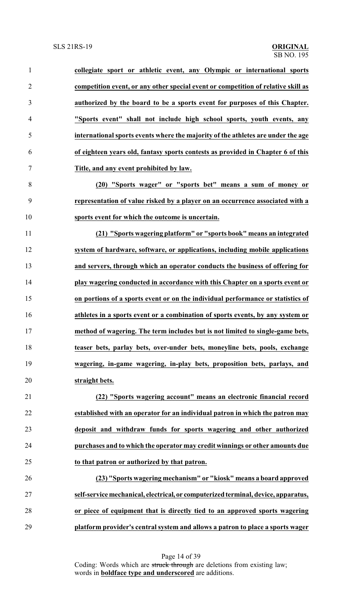| $\mathbf{1}$   | collegiate sport or athletic event, any Olympic or international sports           |
|----------------|-----------------------------------------------------------------------------------|
| $\overline{2}$ | competition event, or any other special event or competition of relative skill as |
| 3              | authorized by the board to be a sports event for purposes of this Chapter.        |
| 4              | "Sports event" shall not include high school sports, youth events, any            |
| 5              | international sports events where the majority of the athletes are under the age  |
| 6              | of eighteen years old, fantasy sports contests as provided in Chapter 6 of this   |
| $\tau$         | Title, and any event prohibited by law.                                           |
| 8              | (20) "Sports wager" or "sports bet" means a sum of money or                       |
| 9              | representation of value risked by a player on an occurrence associated with a     |
| 10             | sports event for which the outcome is uncertain.                                  |
| 11             | (21) "Sports wagering platform" or "sports book" means an integrated              |
| 12             | system of hardware, software, or applications, including mobile applications      |
| 13             | and servers, through which an operator conducts the business of offering for      |
| 14             | play wagering conducted in accordance with this Chapter on a sports event or      |
| 15             | on portions of a sports event or on the individual performance or statistics of   |
| 16             | athletes in a sports event or a combination of sports events, by any system or    |
| 17             | method of wagering. The term includes but is not limited to single-game bets,     |
| 18             | teaser bets, parlay bets, over-under bets, moneyline bets, pools, exchange        |
| 19             | wagering, in-game wagering, in-play bets, proposition bets, parlays, and          |
| 20             | straight bets.                                                                    |
| 21             | (22) "Sports wagering account" means an electronic financial record               |
| 22             | established with an operator for an individual patron in which the patron may     |
| 23             | deposit and withdraw funds for sports wagering and other authorized               |
| 24             | purchases and to which the operator may credit winnings or other amounts due      |
| 25             | to that patron or authorized by that patron.                                      |
| 26             | (23) "Sports wagering mechanism" or "kiosk" means a board approved                |
| 27             | self-service mechanical, electrical, or computerized terminal, device, apparatus, |
| 28             | or piece of equipment that is directly tied to an approved sports wagering        |
|                |                                                                                   |

**platform provider's central system and allows a patron to place a sports wager**

Page 14 of 39 Coding: Words which are struck through are deletions from existing law; words in **boldface type and underscored** are additions.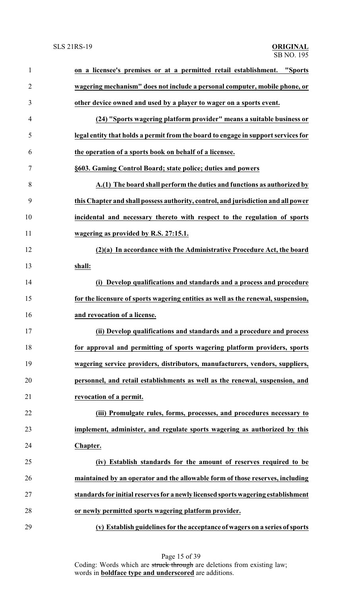| $\mathbf{1}$   | on a licensee's premises or at a permitted retail establishment. "Sports          |
|----------------|-----------------------------------------------------------------------------------|
| $\overline{2}$ | wagering mechanism" does not include a personal computer, mobile phone, or        |
| 3              | other device owned and used by a player to wager on a sports event.               |
| 4              | (24) "Sports wagering platform provider" means a suitable business or             |
| 5              | legal entity that holds a permit from the board to engage in support services for |
| 6              | the operation of a sports book on behalf of a licensee.                           |
| 7              | §603. Gaming Control Board; state police; duties and powers                       |
| 8              | A.(1) The board shall perform the duties and functions as authorized by           |
| 9              | this Chapter and shall possess authority, control, and jurisdiction and all power |
| 10             | incidental and necessary thereto with respect to the regulation of sports         |
| 11             | wagering as provided by R.S. 27:15.1.                                             |
| 12             | (2)(a) In accordance with the Administrative Procedure Act, the board             |
| 13             | shall:                                                                            |
| 14             | (i) Develop qualifications and standards and a process and procedure              |
| 15             | for the licensure of sports wagering entities as well as the renewal, suspension, |
| 16             | and revocation of a license.                                                      |
| 17             | (ii) Develop qualifications and standards and a procedure and process             |
| 18             | for approval and permitting of sports wagering platform providers, sports         |
| 19             | wagering service providers, distributors, manufacturers, vendors, suppliers,      |
| 20             | personnel, and retail establishments as well as the renewal, suspension, and      |
| 21             | revocation of a permit.                                                           |
| 22             | (iii) Promulgate rules, forms, processes, and procedures necessary to             |
| 23             | implement, administer, and regulate sports wagering as authorized by this         |
| 24             | Chapter.                                                                          |
| 25             | (iv) Establish standards for the amount of reserves required to be                |
| 26             | maintained by an operator and the allowable form of those reserves, including     |
| 27             | standards for initial reserves for a newly licensed sports wagering establishment |
| 28             | or newly permitted sports wagering platform provider.                             |
| 29             | (v) Establish guidelines for the acceptance of wagers on a series of sports       |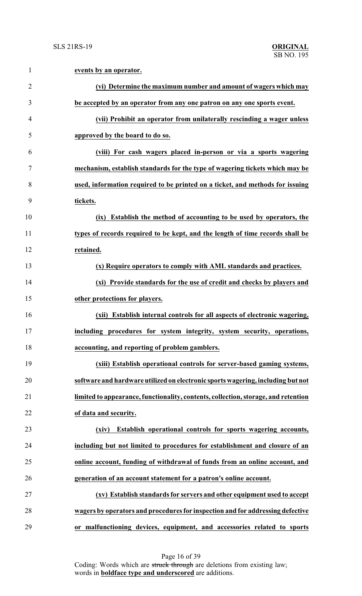| $\mathbf{1}$   | events by an operator.                                                             |
|----------------|------------------------------------------------------------------------------------|
| $\overline{2}$ | (vi) Determine the maximum number and amount of wagers which may                   |
| 3              | be accepted by an operator from any one patron on any one sports event.            |
| 4              | (vii) Prohibit an operator from unilaterally rescinding a wager unless             |
| 5              | approved by the board to do so.                                                    |
| 6              | (viii) For cash wagers placed in-person or via a sports wagering                   |
| $\tau$         | mechanism, establish standards for the type of wagering tickets which may be       |
| 8              | used, information required to be printed on a ticket, and methods for issuing      |
| 9              | tickets.                                                                           |
| 10             | (ix) Establish the method of accounting to be used by operators, the               |
| 11             | types of records required to be kept, and the length of time records shall be      |
| 12             | retained.                                                                          |
| 13             | (x) Require operators to comply with AML standards and practices.                  |
| 14             | (xi) Provide standards for the use of credit and checks by players and             |
| 15             | other protections for players.                                                     |
| 16             | (xii) Establish internal controls for all aspects of electronic wagering,          |
| 17             | including procedures for system integrity, system security, operations,            |
| 18             | accounting, and reporting of problem gamblers.                                     |
| 19             | (xiii) Establish operational controls for server-based gaming systems,             |
| 20             | software and hardware utilized on electronic sports wagering, including but not    |
| 21             | limited to appearance, functionality, contents, collection, storage, and retention |
| 22             | of data and security.                                                              |
| 23             | (xiv) Establish operational controls for sports wagering accounts,                 |
| 24             | including but not limited to procedures for establishment and closure of an        |
| 25             | online account, funding of withdrawal of funds from an online account, and         |
| 26             | generation of an account statement for a patron's online account.                  |
| 27             | (xv) Establish standards for servers and other equipment used to accept            |
| 28             | wagers by operators and procedures for inspection and for addressing defective     |
| 29             | or malfunctioning devices, equipment, and accessories related to sports            |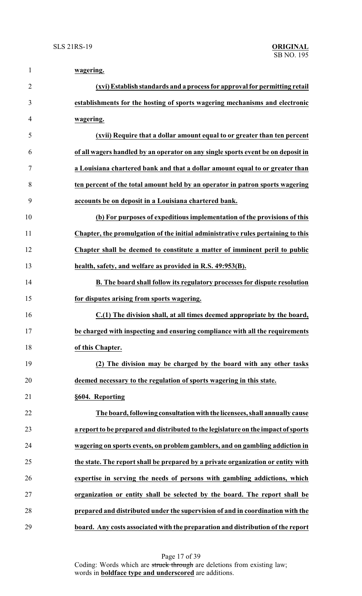| $\mathbf{1}$   | wagering.                                                                          |
|----------------|------------------------------------------------------------------------------------|
| $\overline{2}$ | (xvi) Establish standards and a process for approval for permitting retail         |
| 3              | establishments for the hosting of sports wagering mechanisms and electronic        |
| $\overline{4}$ | wagering.                                                                          |
| 5              | (xvii) Require that a dollar amount equal to or greater than ten percent           |
| 6              | of all wagers handled by an operator on any single sports event be on deposit in   |
| 7              | a Louisiana chartered bank and that a dollar amount equal to or greater than       |
| 8              | ten percent of the total amount held by an operator in patron sports wagering      |
| 9              | accounts be on deposit in a Louisiana chartered bank.                              |
| 10             | (b) For purposes of expeditious implementation of the provisions of this           |
| 11             | Chapter, the promulgation of the initial administrative rules pertaining to this   |
| 12             | Chapter shall be deemed to constitute a matter of imminent peril to public         |
| 13             | health, safety, and welfare as provided in R.S. 49:953(B).                         |
| 14             | B. The board shall follow its regulatory processes for dispute resolution          |
| 15             | for disputes arising from sports wagering.                                         |
| 16             | C.(1) The division shall, at all times deemed appropriate by the board,            |
| 17             | be charged with inspecting and ensuring compliance with all the requirements       |
| 18             | of this Chapter.                                                                   |
| 19             | (2) The division may be charged by the board with any other tasks                  |
| 20             | deemed necessary to the regulation of sports wagering in this state.               |
| 21             | §604. Reporting                                                                    |
| 22             | The board, following consultation with the licensees, shall annually cause         |
| 23             | a report to be prepared and distributed to the legislature on the impact of sports |
| 24             | wagering on sports events, on problem gamblers, and on gambling addiction in       |
| 25             | the state. The report shall be prepared by a private organization or entity with   |
| 26             | expertise in serving the needs of persons with gambling addictions, which          |
| 27             | organization or entity shall be selected by the board. The report shall be         |
| 28             | prepared and distributed under the supervision of and in coordination with the     |
| 29             | board. Any costs associated with the preparation and distribution of the report    |

Page 17 of 39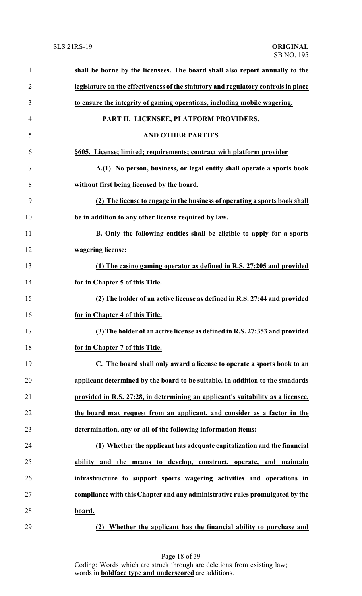| $\mathbf{1}$   | shall be borne by the licensees. The board shall also report annually to the       |
|----------------|------------------------------------------------------------------------------------|
| $\overline{2}$ | legislature on the effectiveness of the statutory and regulatory controls in place |
| 3              | to ensure the integrity of gaming operations, including mobile wagering.           |
| 4              | PART II. LICENSEE, PLATFORM PROVIDERS,                                             |
| 5              | <b>AND OTHER PARTIES</b>                                                           |
| 6              | §605. License; limited; requirements; contract with platform provider              |
| 7              | A.(1) No person, business, or legal entity shall operate a sports book             |
| 8              | without first being licensed by the board.                                         |
| 9              | (2) The license to engage in the business of operating a sports book shall         |
| 10             | be in addition to any other license required by law.                               |
| 11             | B. Only the following entities shall be eligible to apply for a sports             |
| 12             | wagering license:                                                                  |
| 13             | (1) The casino gaming operator as defined in R.S. 27:205 and provided              |
| 14             | for in Chapter 5 of this Title.                                                    |
| 15             | (2) The holder of an active license as defined in R.S. 27:44 and provided          |
| 16             | for in Chapter 4 of this Title.                                                    |
| 17             | (3) The holder of an active license as defined in R.S. 27:353 and provided         |
| 18             | for in Chapter 7 of this Title.                                                    |
| 19             | C. The board shall only award a license to operate a sports book to an             |
| 20             | applicant determined by the board to be suitable. In addition to the standards     |
| 21             | provided in R.S. 27:28, in determining an applicant's suitability as a licensee,   |
| 22             | the board may request from an applicant, and consider as a factor in the           |
| 23             | determination, any or all of the following information items:                      |
| 24             | (1) Whether the applicant has adequate capitalization and the financial            |
| 25             | and the means to develop, construct, operate, and maintain<br>ability              |
| 26             | infrastructure to support sports wagering activities and operations in             |
| 27             | compliance with this Chapter and any administrative rules promulgated by the       |
| 28             | board.                                                                             |
| 29             | Whether the applicant has the financial ability to purchase and<br>(2)             |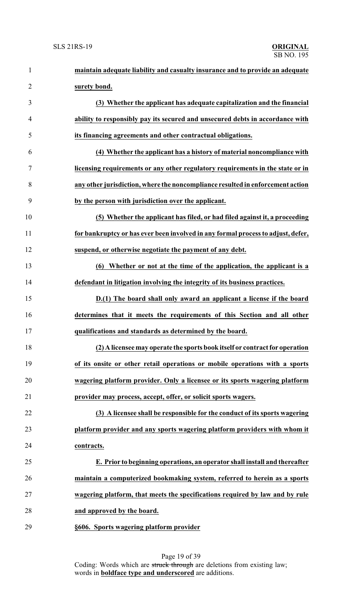| $\mathbf{1}$   | maintain adequate liability and casualty insurance and to provide an adequate    |
|----------------|----------------------------------------------------------------------------------|
| $\overline{2}$ | surety bond.                                                                     |
| 3              | (3) Whether the applicant has adequate capitalization and the financial          |
| $\overline{4}$ | ability to responsibly pay its secured and unsecured debts in accordance with    |
| 5              | its financing agreements and other contractual obligations.                      |
| 6              | (4) Whether the applicant has a history of material noncompliance with           |
| 7              | licensing requirements or any other regulatory requirements in the state or in   |
| 8              | any other jurisdiction, where the noncompliance resulted in enforcement action   |
| 9              | by the person with jurisdiction over the applicant.                              |
| 10             | (5) Whether the applicant has filed, or had filed against it, a proceeding       |
| 11             | for bankruptcy or has ever been involved in any formal process to adjust, defer, |
| 12             | suspend, or otherwise negotiate the payment of any debt.                         |
| 13             | (6) Whether or not at the time of the application, the applicant is a            |
| 14             | defendant in litigation involving the integrity of its business practices.       |
| 15             | D.(1) The board shall only award an applicant a license if the board             |
| 16             | determines that it meets the requirements of this Section and all other          |
| 17             | qualifications and standards as determined by the board.                         |
| 18             | (2) A licensee may operate the sports book itself or contract for operation      |
| 19             | of its onsite or other retail operations or mobile operations with a sports      |
| 20             | wagering platform provider. Only a licensee or its sports wagering platform      |
| 21             | provider may process, accept, offer, or solicit sports wagers.                   |
| 22             | (3) A licensee shall be responsible for the conduct of its sports wagering       |
| 23             | platform provider and any sports wagering platform providers with whom it        |
| 24             | contracts.                                                                       |
| 25             | E. Prior to beginning operations, an operator shall install and thereafter       |
| 26             | maintain a computerized bookmaking system, referred to herein as a sports        |
| 27             | wagering platform, that meets the specifications required by law and by rule     |
| 28             | and approved by the board.                                                       |
| 29             | §606. Sports wagering platform provider                                          |

Page 19 of 39 Coding: Words which are struck through are deletions from existing law; words in **boldface type and underscored** are additions.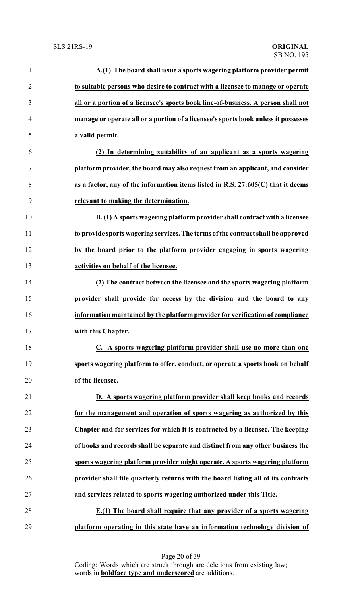| $\mathbf{1}$   | A.(1) The board shall issue a sports wagering platform provider permit             |
|----------------|------------------------------------------------------------------------------------|
| $\overline{2}$ | to suitable persons who desire to contract with a licensee to manage or operate    |
| 3              | all or a portion of a licensee's sports book line-of-business. A person shall not  |
| 4              | manage or operate all or a portion of a licensee's sports book unless it possesses |
| 5              | a valid permit.                                                                    |
| 6              | (2) In determining suitability of an applicant as a sports wagering                |
| $\tau$         | platform provider, the board may also request from an applicant, and consider      |
| 8              | as a factor, any of the information items listed in R.S. 27:605(C) that it deems   |
| 9              | relevant to making the determination.                                              |
| 10             | B. (1) A sports wagering platform provider shall contract with a licensee          |
| 11             | to provide sports wagering services. The terms of the contract shall be approved   |
| 12             | by the board prior to the platform provider engaging in sports wagering            |
| 13             | activities on behalf of the licensee.                                              |
| 14             | (2) The contract between the licensee and the sports wagering platform             |
| 15             | provider shall provide for access by the division and the board to any             |
| 16             | information maintained by the platform provider for verification of compliance     |
| 17             | with this Chapter.                                                                 |
| 18             | C. A sports wagering platform provider shall use no more than one                  |
| 19             | sports wagering platform to offer, conduct, or operate a sports book on behalf     |
| 20             | of the licensee.                                                                   |
| 21             | D. A sports wagering platform provider shall keep books and records                |
| 22             | for the management and operation of sports wagering as authorized by this          |
| 23             | Chapter and for services for which it is contracted by a licensee. The keeping     |
| 24             | of books and records shall be separate and distinct from any other business the    |
| 25             | sports wagering platform provider might operate. A sports wagering platform        |
| 26             | provider shall file quarterly returns with the board listing all of its contracts  |
| 27             | and services related to sports wagering authorized under this Title.               |
| 28             | E.(1) The board shall require that any provider of a sports wagering               |
| 29             | platform operating in this state have an information technology division of        |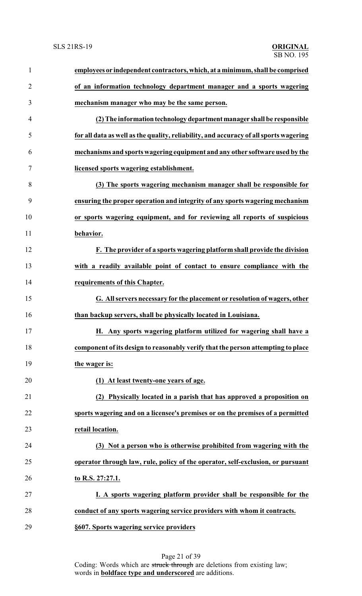| $\mathbf{1}$   | employees or independent contractors, which, at a minimum, shall be comprised         |
|----------------|---------------------------------------------------------------------------------------|
| $\overline{2}$ | of an information technology department manager and a sports wagering                 |
| 3              | mechanism manager who may be the same person.                                         |
| 4              | (2) The information technology department manager shall be responsible                |
| 5              | for all data as well as the quality, reliability, and accuracy of all sports wagering |
| 6              | mechanisms and sports wagering equipment and any other software used by the           |
| 7              | licensed sports wagering establishment.                                               |
| 8              | (3) The sports wagering mechanism manager shall be responsible for                    |
| 9              | ensuring the proper operation and integrity of any sports wagering mechanism          |
| 10             | or sports wagering equipment, and for reviewing all reports of suspicious             |
| 11             | behavior.                                                                             |
| 12             | F. The provider of a sports wagering platform shall provide the division              |
| 13             | with a readily available point of contact to ensure compliance with the               |
| 14             | requirements of this Chapter.                                                         |
| 15             | G. All servers necessary for the placement or resolution of wagers, other             |
| 16             | than backup servers, shall be physically located in Louisiana.                        |
| 17             | H. Any sports wagering platform utilized for wagering shall have a                    |
| 18             | component of its design to reasonably verify that the person attempting to place      |
| 19             | the wager is:                                                                         |
| 20             | (1) At least twenty-one years of age.                                                 |
| 21             | (2) Physically located in a parish that has approved a proposition on                 |
| 22             | sports wagering and on a licensee's premises or on the premises of a permitted        |
| 23             | retail location.                                                                      |
| 24             | (3) Not a person who is otherwise prohibited from wagering with the                   |
| 25             | operator through law, rule, policy of the operator, self-exclusion, or pursuant       |
| 26             | to R.S. 27:27.1.                                                                      |
| 27             | I. A sports wagering platform provider shall be responsible for the                   |
| 28             | conduct of any sports wagering service providers with whom it contracts.              |
| 29             | §607. Sports wagering service providers                                               |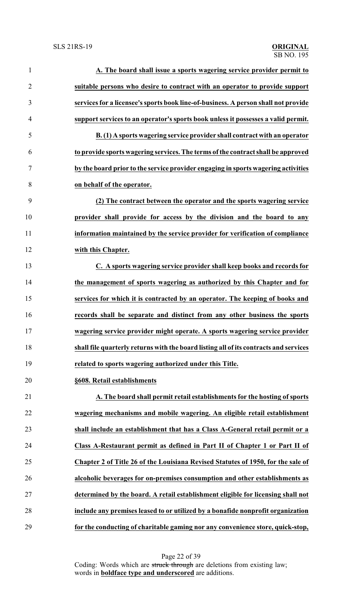| $\mathbf{1}$   | A. The board shall issue a sports wagering service provider permit to                 |
|----------------|---------------------------------------------------------------------------------------|
| $\overline{2}$ | suitable persons who desire to contract with an operator to provide support           |
| 3              | services for a licensee's sports book line-of-business. A person shall not provide    |
| $\overline{4}$ | support services to an operator's sports book unless it possesses a valid permit.     |
| 5              | B. (1) A sports wagering service provider shall contract with an operator             |
| 6              | to provide sports wagering services. The terms of the contract shall be approved      |
| 7              | by the board prior to the service provider engaging in sports wagering activities     |
| 8              | on behalf of the operator.                                                            |
| 9              | (2) The contract between the operator and the sports wagering service                 |
| 10             | provider shall provide for access by the division and the board to any                |
| 11             | information maintained by the service provider for verification of compliance         |
| 12             | with this Chapter.                                                                    |
| 13             | C. A sports wagering service provider shall keep books and records for                |
| 14             | the management of sports wagering as authorized by this Chapter and for               |
| 15             | services for which it is contracted by an operator. The keeping of books and          |
| 16             | records shall be separate and distinct from any other business the sports             |
| 17             | wagering service provider might operate. A sports wagering service provider           |
| 18             | shall file quarterly returns with the board listing all of its contracts and services |
| 19             | related to sports wagering authorized under this Title.                               |
| 20             | §608. Retail establishments                                                           |
| 21             | A. The board shall permit retail establishments for the hosting of sports             |
| 22             | wagering mechanisms and mobile wagering. An eligible retail establishment             |
| 23             | shall include an establishment that has a Class A-General retail permit or a          |
| 24             | Class A-Restaurant permit as defined in Part II of Chapter 1 or Part II of            |
| 25             | Chapter 2 of Title 26 of the Louisiana Revised Statutes of 1950, for the sale of      |
| 26             | alcoholic beverages for on-premises consumption and other establishments as           |
| 27             | determined by the board. A retail establishment eligible for licensing shall not      |
| 28             | include any premises leased to or utilized by a bonafide nonprofit organization       |
| 29             | for the conducting of charitable gaming nor any convenience store, quick-stop,        |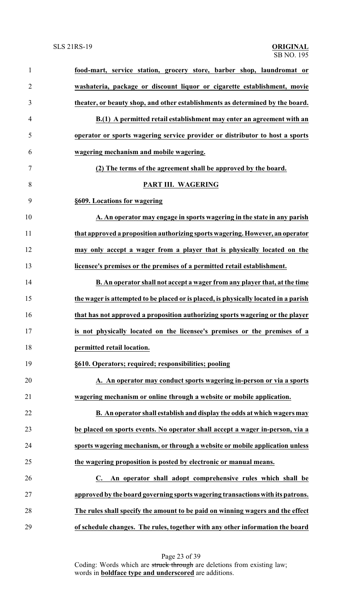| $\mathbf{1}$   | food-mart, service station, grocery store, barber shop, laundromat or               |
|----------------|-------------------------------------------------------------------------------------|
| $\overline{2}$ | washateria, package or discount liquor or cigarette establishment, movie            |
| 3              | theater, or beauty shop, and other establishments as determined by the board.       |
| $\overline{4}$ | B.(1) A permitted retail establishment may enter an agreement with an               |
| 5              | operator or sports wagering service provider or distributor to host a sports        |
| 6              | wagering mechanism and mobile wagering.                                             |
| 7              | (2) The terms of the agreement shall be approved by the board.                      |
| 8              | PART III. WAGERING                                                                  |
| 9              | §609. Locations for wagering                                                        |
| 10             | A. An operator may engage in sports wagering in the state in any parish             |
| 11             | that approved a proposition authorizing sports wagering. However, an operator       |
| 12             | may only accept a wager from a player that is physically located on the             |
| 13             | licensee's premises or the premises of a permitted retail establishment.            |
| 14             | B. An operator shall not accept a wager from any player that, at the time           |
| 15             | the wager is attempted to be placed or is placed, is physically located in a parish |
| 16             | that has not approved a proposition authorizing sports wagering or the player       |
| 17             | is not physically located on the licensee's premises or the premises of a           |
| 18             | permitted retail location.                                                          |
| 19             | §610. Operators; required; responsibilities; pooling                                |
| 20             | A. An operator may conduct sports wagering in-person or via a sports                |
| 21             | wagering mechanism or online through a website or mobile application.               |
| 22             | B. An operator shall establish and display the odds at which wagers may             |
| 23             | be placed on sports events. No operator shall accept a wager in-person, via a       |
| 24             | sports wagering mechanism, or through a website or mobile application unless        |
| 25             | the wagering proposition is posted by electronic or manual means.                   |
| 26             | An operator shall adopt comprehensive rules which shall be<br>$\mathbf{C}$ .        |
| 27             | approved by the board governing sports wagering transactions with its patrons.      |
| 28             | The rules shall specify the amount to be paid on winning wagers and the effect      |
| 29             | of schedule changes. The rules, together with any other information the board       |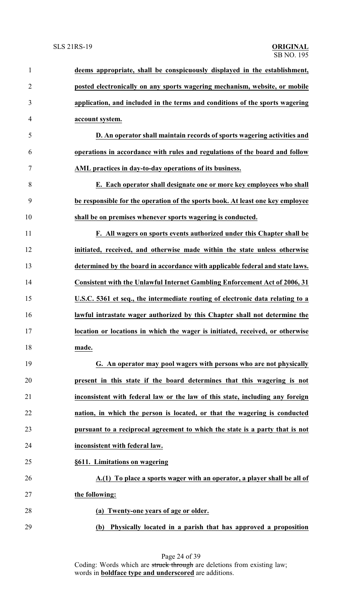| $\mathbf{1}$   | deems appropriate, shall be conspicuously displayed in the establishment,         |
|----------------|-----------------------------------------------------------------------------------|
| $\overline{2}$ | posted electronically on any sports wagering mechanism, website, or mobile        |
| 3              | application, and included in the terms and conditions of the sports wagering      |
| $\overline{4}$ | account system.                                                                   |
| 5              | D. An operator shall maintain records of sports wagering activities and           |
| 6              | operations in accordance with rules and regulations of the board and follow       |
| 7              | AML practices in day-to-day operations of its business.                           |
| 8              | E. Each operator shall designate one or more key employees who shall              |
| 9              | be responsible for the operation of the sports book. At least one key employee    |
| 10             | shall be on premises whenever sports wagering is conducted.                       |
| 11             | F. All wagers on sports events authorized under this Chapter shall be             |
| 12             | initiated, received, and otherwise made within the state unless otherwise         |
| 13             | determined by the board in accordance with applicable federal and state laws.     |
| 14             | <b>Consistent with the Unlawful Internet Gambling Enforcement Act of 2006, 31</b> |
| 15             | U.S.C. 5361 et seq., the intermediate routing of electronic data relating to a    |
| 16             | lawful intrastate wager authorized by this Chapter shall not determine the        |
| 17             | location or locations in which the wager is initiated, received, or otherwise     |
| 18             | made.                                                                             |
| 19             | G. An operator may pool wagers with persons who are not physically                |
| 20             | present in this state if the board determines that this wagering is not           |
| 21             | inconsistent with federal law or the law of this state, including any foreign     |
| 22             | nation, in which the person is located, or that the wagering is conducted         |
| 23             | pursuant to a reciprocal agreement to which the state is a party that is not      |
| 24             | inconsistent with federal law.                                                    |
| 25             | §611. Limitations on wagering                                                     |
| 26             | A.(1) To place a sports wager with an operator, a player shall be all of          |
| 27             | the following:                                                                    |
| 28             | (a) Twenty-one years of age or older.                                             |
| 29             | Physically located in a parish that has approved a proposition<br>(b)             |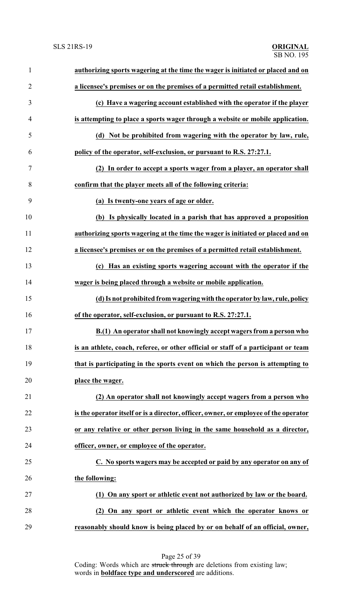| $\mathbf{1}$   | authorizing sports wagering at the time the wager is initiated or placed and on      |
|----------------|--------------------------------------------------------------------------------------|
| $\overline{2}$ | a licensee's premises or on the premises of a permitted retail establishment.        |
| 3              | (c) Have a wagering account established with the operator if the player              |
| 4              | is attempting to place a sports wager through a website or mobile application.       |
| 5              | (d) Not be prohibited from wagering with the operator by law, rule,                  |
| 6              | policy of the operator, self-exclusion, or pursuant to R.S. 27:27.1.                 |
| 7              | (2) In order to accept a sports wager from a player, an operator shall               |
| 8              | confirm that the player meets all of the following criteria:                         |
| 9              | (a) Is twenty-one years of age or older.                                             |
| 10             | (b) Is physically located in a parish that has approved a proposition                |
| 11             | authorizing sports wagering at the time the wager is initiated or placed and on      |
| 12             | a licensee's premises or on the premises of a permitted retail establishment.        |
| 13             | Has an existing sports wagering account with the operator if the<br>(c)              |
| 14             | wager is being placed through a website or mobile application.                       |
| 15             | (d) Is not prohibited from wagering with the operator by law, rule, policy           |
| 16             | of the operator, self-exclusion, or pursuant to R.S. 27:27.1.                        |
| 17             | B.(1) An operator shall not knowingly accept wagers from a person who                |
| 18             | is an athlete, coach, referee, or other official or staff of a participant or team   |
| 19             | that is participating in the sports event on which the person is attempting to       |
| 20             | place the wager.                                                                     |
| 21             | (2) An operator shall not knowingly accept wagers from a person who                  |
| 22             | is the operator itself or is a director, officer, owner, or employee of the operator |
| 23             | or any relative or other person living in the same household as a director,          |
| 24             | officer, owner, or employee of the operator.                                         |
| 25             | C. No sports wagers may be accepted or paid by any operator on any of                |
| 26             | the following:                                                                       |
| 27             | (1) On any sport or athletic event not authorized by law or the board.               |
| 28             | (2) On any sport or athletic event which the operator knows or                       |
| 29             | reasonably should know is being placed by or on behalf of an official, owner,        |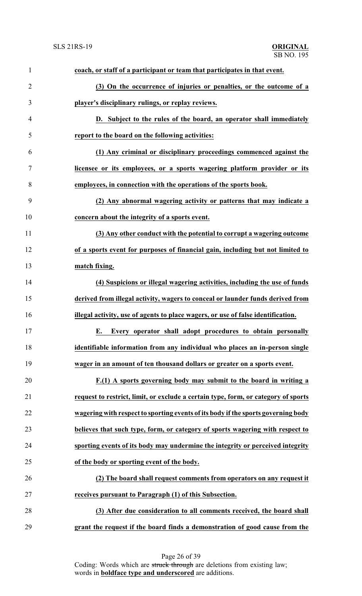| $\mathbf{1}$   | coach, or staff of a participant or team that participates in that event.          |
|----------------|------------------------------------------------------------------------------------|
| $\overline{2}$ | (3) On the occurrence of injuries or penalties, or the outcome of a                |
| 3              | player's disciplinary rulings, or replay reviews.                                  |
| $\overline{4}$ | D. Subject to the rules of the board, an operator shall immediately                |
| 5              | report to the board on the following activities:                                   |
| 6              | (1) Any criminal or disciplinary proceedings commenced against the                 |
| $\tau$         | licensee or its employees, or a sports wagering platform provider or its           |
| 8              | employees, in connection with the operations of the sports book.                   |
| 9              | (2) Any abnormal wagering activity or patterns that may indicate a                 |
| 10             | concern about the integrity of a sports event.                                     |
| 11             | (3) Any other conduct with the potential to corrupt a wagering outcome             |
| 12             | of a sports event for purposes of financial gain, including but not limited to     |
| 13             | match fixing.                                                                      |
| 14             | (4) Suspicions or illegal wagering activities, including the use of funds          |
| 15             | derived from illegal activity, wagers to conceal or launder funds derived from     |
| 16             | illegal activity, use of agents to place wagers, or use of false identification.   |
| 17             | E. Every operator shall adopt procedures to obtain personally                      |
| 18             | identifiable information from any individual who places an in-person single        |
| 19             | wager in an amount of ten thousand dollars or greater on a sports event.           |
| 20             | F.(1) A sports governing body may submit to the board in writing a                 |
| 21             | request to restrict, limit, or exclude a certain type, form, or category of sports |
| 22             | wagering with respect to sporting events of its body if the sports governing body  |
| 23             | believes that such type, form, or category of sports wagering with respect to      |
| 24             | sporting events of its body may undermine the integrity or perceived integrity     |
| 25             | of the body or sporting event of the body.                                         |
| 26             | (2) The board shall request comments from operators on any request it              |
| 27             | receives pursuant to Paragraph (1) of this Subsection.                             |
| 28             | (3) After due consideration to all comments received, the board shall              |
| 29             | grant the request if the board finds a demonstration of good cause from the        |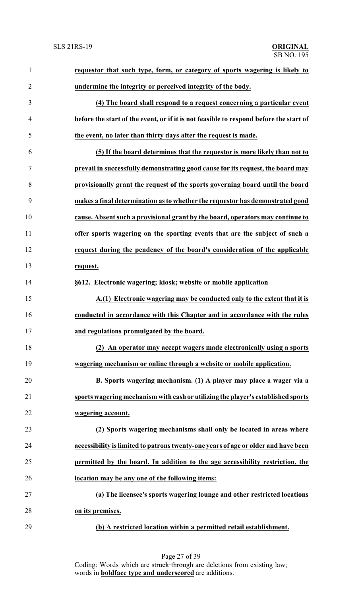| $\mathbf{1}$   | requestor that such type, form, or category of sports wagering is likely to            |  |
|----------------|----------------------------------------------------------------------------------------|--|
| $\overline{2}$ | undermine the integrity or perceived integrity of the body.                            |  |
| 3              | (4) The board shall respond to a request concerning a particular event                 |  |
| $\overline{4}$ | before the start of the event, or if it is not feasible to respond before the start of |  |
| 5              | the event, no later than thirty days after the request is made.                        |  |
| 6              | (5) If the board determines that the requestor is more likely than not to              |  |
| 7              | prevail in successfully demonstrating good cause for its request, the board may        |  |
| 8              | provisionally grant the request of the sports governing board until the board          |  |
| 9              | makes a final determination as to whether the requestor has demonstrated good          |  |
| 10             | cause. Absent such a provisional grant by the board, operators may continue to         |  |
| 11             | offer sports wagering on the sporting events that are the subject of such a            |  |
| 12             | request during the pendency of the board's consideration of the applicable             |  |
| 13             | request.                                                                               |  |
| 14             | §612. Electronic wagering; kiosk; website or mobile application                        |  |
| 15             | A.(1) Electronic wagering may be conducted only to the extent that it is               |  |
| 16             | conducted in accordance with this Chapter and in accordance with the rules             |  |
| 17             | and regulations promulgated by the board.                                              |  |
| 18             | (2) An operator may accept wagers made electronically using a sports                   |  |
| 19             | wagering mechanism or online through a website or mobile application.                  |  |
| 20             | B. Sports wagering mechanism. (1) A player may place a wager via a                     |  |
| 21             | sports wagering mechanism with cash or utilizing the player's established sports       |  |
| 22             | wagering account.                                                                      |  |
| 23             | (2) Sports wagering mechanisms shall only be located in areas where                    |  |
| 24             | accessibility is limited to patrons twenty-one years of age or older and have been     |  |
| 25             | permitted by the board. In addition to the age accessibility restriction, the          |  |
| 26             | location may be any one of the following items:                                        |  |
| 27             | (a) The licensee's sports wagering lounge and other restricted locations               |  |
| 28             | on its premises.                                                                       |  |
| 29             | (b) A restricted location within a permitted retail establishment.                     |  |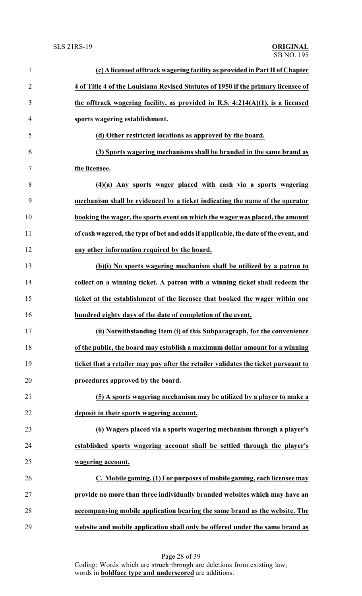| $\mathbf{1}$   | (c) A licensed offtrack wagering facility as provided in Part II of Chapter         |
|----------------|-------------------------------------------------------------------------------------|
| $\overline{2}$ | 4 of Title 4 of the Louisiana Revised Statutes of 1950 if the primary licensee of   |
| 3              | the offtrack wagering facility, as provided in R.S. $4:214(A)(1)$ , is a licensed   |
| $\overline{4}$ | sports wagering establishment.                                                      |
| 5              | (d) Other restricted locations as approved by the board.                            |
| 6              | (3) Sports wagering mechanisms shall be branded in the same brand as                |
| 7              | the licensee.                                                                       |
| 8              | $(4)(a)$ Any sports wager placed with cash via a sports wagering                    |
| 9              | mechanism shall be evidenced by a ticket indicating the name of the operator        |
| 10             | booking the wager, the sports event on which the wager was placed, the amount       |
| 11             | of cash wagered, the type of bet and odds if applicable, the date of the event, and |
| 12             | any other information required by the board.                                        |
| 13             | (b)(i) No sports wagering mechanism shall be utilized by a patron to                |
| 14             | collect on a winning ticket. A patron with a winning ticket shall redeem the        |
| 15             | ticket at the establishment of the licensee that booked the wager within one        |
| 16             | hundred eighty days of the date of completion of the event.                         |
| 17             | (ii) Notwithstanding Item (i) of this Subparagraph, for the convenience             |
| 18             | of the public, the board may establish a maximum dollar amount for a winning        |
| 19             | ticket that a retailer may pay after the retailer validates the ticket pursuant to  |
| 20             | procedures approved by the board.                                                   |
| 21             | (5) A sports wagering mechanism may be utilized by a player to make a               |
| 22             | deposit in their sports wagering account.                                           |
| 23             | (6) Wagers placed via a sports wagering mechanism through a player's                |
| 24             | established sports wagering account shall be settled through the player's           |
| 25             | wagering account.                                                                   |
| 26             | C. Mobile gaming. (1) For purposes of mobile gaming, each licensee may              |
| 27             | provide no more than three individually branded websites which may have an          |
| 28             | accompanying mobile application bearing the same brand as the website. The          |
| 29             | website and mobile application shall only be offered under the same brand as        |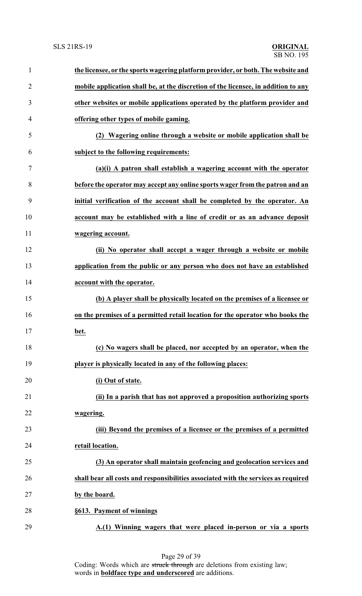| $\mathbf{1}$   | the licensee, or the sports wagering platform provider, or both. The website and   |
|----------------|------------------------------------------------------------------------------------|
| $\overline{2}$ | mobile application shall be, at the discretion of the licensee, in addition to any |
| 3              | other websites or mobile applications operated by the platform provider and        |
| 4              | offering other types of mobile gaming.                                             |
| 5              | (2) Wagering online through a website or mobile application shall be               |
| 6              | subject to the following requirements:                                             |
| 7              | (a)(i) A patron shall establish a wagering account with the operator               |
| 8              | before the operator may accept any online sports wager from the patron and an      |
| 9              | initial verification of the account shall be completed by the operator. An         |
| 10             | account may be established with a line of credit or as an advance deposit          |
| 11             | wagering account.                                                                  |
| 12             | (ii) No operator shall accept a wager through a website or mobile                  |
| 13             | application from the public or any person who does not have an established         |
| 14             | account with the operator.                                                         |
| 15             | (b) A player shall be physically located on the premises of a licensee or          |
| 16             | on the premises of a permitted retail location for the operator who books the      |
| 17             | bet.                                                                               |
| 18             | (c) No wagers shall be placed, nor accepted by an operator, when the               |
| 19             | player is physically located in any of the following places:                       |
| 20             | (i) Out of state.                                                                  |
| 21             | (ii) In a parish that has not approved a proposition authorizing sports            |
| 22             | wagering.                                                                          |
| 23             | (iii) Beyond the premises of a licensee or the premises of a permitted             |
| 24             | retail location.                                                                   |
| 25             | (3) An operator shall maintain geofencing and geolocation services and             |
| 26             | shall bear all costs and responsibilities associated with the services as required |
| 27             | by the board.                                                                      |
| 28             | §613. Payment of winnings                                                          |
| 29             | A.(1) Winning wagers that were placed in-person or via a sports                    |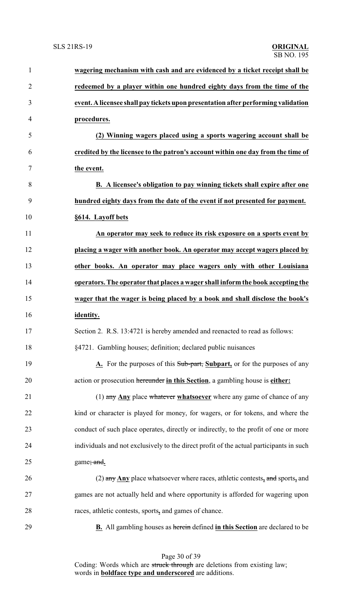| $\mathbf{1}$   | wagering mechanism with cash and are evidenced by a ticket receipt shall be             |
|----------------|-----------------------------------------------------------------------------------------|
| $\overline{2}$ | redeemed by a player within one hundred eighty days from the time of the                |
| 3              | event. A licensee shall pay tickets upon presentation after performing validation       |
| 4              | procedures.                                                                             |
| 5              | (2) Winning wagers placed using a sports wagering account shall be                      |
| 6              | credited by the licensee to the patron's account within one day from the time of        |
| 7              | the event.                                                                              |
| 8              | B. A licensee's obligation to pay winning tickets shall expire after one                |
| 9              | hundred eighty days from the date of the event if not presented for payment.            |
| 10             | §614. Layoff bets                                                                       |
| 11             | An operator may seek to reduce its risk exposure on a sports event by                   |
| 12             | placing a wager with another book. An operator may accept wagers placed by              |
| 13             | other books. An operator may place wagers only with other Louisiana                     |
| 14             | operators. The operator that places a wager shall inform the book accepting the         |
| 15             | wager that the wager is being placed by a book and shall disclose the book's            |
| 16             | identity.                                                                               |
| 17             | Section 2. R.S. 13:4721 is hereby amended and reenacted to read as follows:             |
| 18             | §4721. Gambling houses; definition; declared public nuisances                           |
| 19             | A. For the purposes of this Sub-part, Subpart, or for the purposes of any               |
| 20             | action or prosecution hereunder in this Section, a gambling house is either:            |
| 21             | $(1)$ any Any place whatever whatsoever where any game of chance of any                 |
| 22             | kind or character is played for money, for wagers, or for tokens, and where the         |
| 23             | conduct of such place operates, directly or indirectly, to the profit of one or more    |
| 24             | individuals and not exclusively to the direct profit of the actual participants in such |
| 25             | game; and.                                                                              |
| 26             | (2) any $\Delta$ ny place whatsoever where races, athletic contests, and sports, and    |
| 27             | games are not actually held and where opportunity is afforded for wagering upon         |
| 28             | races, athletic contests, sports, and games of chance.                                  |
| 29             | <b>B.</b> All gambling houses as herein defined in this Section are declared to be      |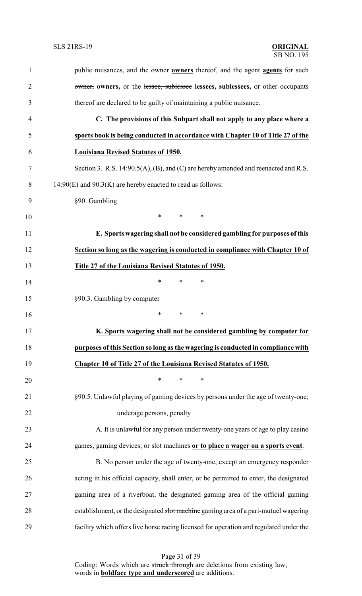| $\mathbf{1}$   | public nuisances, and the owner owners thereof, and the agent agents for such          |
|----------------|----------------------------------------------------------------------------------------|
| $\overline{2}$ | owner, owners, or the lessee, sublessee lessees, sublessees, or other occupants        |
| 3              | thereof are declared to be guilty of maintaining a public nuisance.                    |
| 4              | C. The provisions of this Subpart shall not apply to any place where a                 |
| 5              | sports book is being conducted in accordance with Chapter 10 of Title 27 of the        |
| 6              | Louisiana Revised Statutes of 1950.                                                    |
| 7              | Section 3. R.S. 14:90.5(A), (B), and (C) are hereby amended and reenacted and R.S.     |
| 8              | $14:90(E)$ and $90.3(K)$ are hereby enacted to read as follows:                        |
| 9              | §90. Gambling                                                                          |
| 10             | $\ast$<br>$\ast$<br>$\ast$                                                             |
| 11             | E. Sports wagering shall not be considered gambling for purposes of this               |
| 12             | Section so long as the wagering is conducted in compliance with Chapter 10 of          |
| 13             | Title 27 of the Louisiana Revised Statutes of 1950.                                    |
| 14             | $\ast$<br>$\ast$<br>∗                                                                  |
| 15             | §90.3. Gambling by computer                                                            |
| 16             | $\ast$<br>*<br>$\ast$                                                                  |
| 17             | K. Sports wagering shall not be considered gambling by computer for                    |
| 18             | purposes of this Section so long as the wagering is conducted in compliance with       |
| 19             | Chapter 10 of Title 27 of the Louisiana Revised Statutes of 1950.                      |
| 20             | $\ast$<br>*<br>$\ast$                                                                  |
| 21             | §90.5. Unlawful playing of gaming devices by persons under the age of twenty-one;      |
| 22             | underage persons, penalty                                                              |
| 23             | A. It is unlawful for any person under twenty-one years of age to play casino          |
| 24             | games, gaming devices, or slot machines or to place a wager on a sports event.         |
| 25             | B. No person under the age of twenty-one, except an emergency responder                |
| 26             | acting in his official capacity, shall enter, or be permitted to enter, the designated |
| 27             | gaming area of a riverboat, the designated gaming area of the official gaming          |
| 28             | establishment, or the designated slot machine gaming area of a pari-mutuel wagering    |
| 29             | facility which offers live horse racing licensed for operation and regulated under the |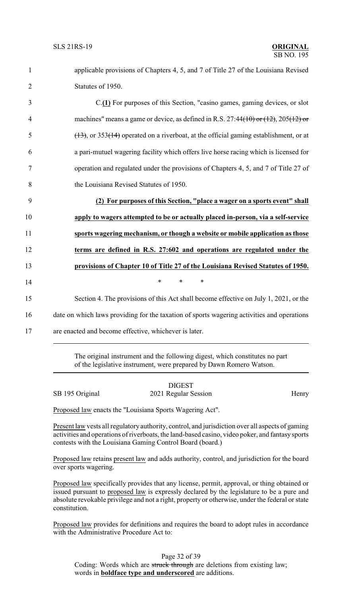applicable provisions of Chapters 4, 5, and 7 of Title 27 of the Louisiana Revised Statutes of 1950. C.**(1)** For purposes of this Section, "casino games, gaming devices, or slot machines" means a game or device, as defined in R.S. 27:44(10) or (12), 205(12) or  $\left(\frac{(13)}{2}\right)$ , or 353( $\left(\frac{14}{2}\right)$  operated on a riverboat, at the official gaming establishment, or at a pari-mutuel wagering facility which offers live horse racing which is licensed for operation and regulated under the provisions of Chapters 4, 5, and 7 of Title 27 of the Louisiana Revised Statutes of 1950. **(2) For purposes of this Section, "place a wager on a sports event" shall apply to wagers attempted to be or actually placed in-person, via a self-service sports wagering mechanism, or though a website or mobile application as those terms are defined in R.S. 27:602 and operations are regulated under the provisions of Chapter 10 of Title 27 of the Louisiana Revised Statutes of 1950.** 14 **\*** \* \* \* Section 4. The provisions of this Act shall become effective on July 1, 2021, or the date on which laws providing for the taxation of sports wagering activities and operations are enacted and become effective, whichever is later.

> The original instrument and the following digest, which constitutes no part of the legislative instrument, were prepared by Dawn Romero Watson.

|                 | <b>DIGEST</b>        |       |
|-----------------|----------------------|-------|
| SB 195 Original | 2021 Regular Session | Henry |

Proposed law enacts the "Louisiana Sports Wagering Act".

Present law vests all regulatory authority, control, and jurisdiction over all aspects of gaming activities and operations of riverboats, the land-based casino, video poker, and fantasysports contests with the Louisiana Gaming Control Board (board.)

Proposed law retains present law and adds authority, control, and jurisdiction for the board over sports wagering.

Proposed law specifically provides that any license, permit, approval, or thing obtained or issued pursuant to proposed law is expressly declared by the legislature to be a pure and absolute revokable privilege and not a right, property or otherwise, under the federal or state constitution.

Proposed law provides for definitions and requires the board to adopt rules in accordance with the Administrative Procedure Act to: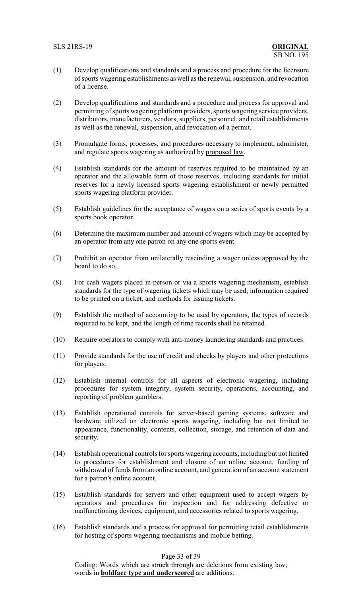- (1) Develop qualifications and standards and a process and procedure for the licensure of sports wagering establishments as well as the renewal, suspension, and revocation of a license.
- (2) Develop qualifications and standards and a procedure and process for approval and permitting of sports wagering platform providers, sports wagering service providers, distributors, manufacturers, vendors, suppliers, personnel, and retail establishments as well as the renewal, suspension, and revocation of a permit.
- (3) Promulgate forms, processes, and procedures necessary to implement, administer, and regulate sports wagering as authorized by proposed law.
- (4) Establish standards for the amount of reserves required to be maintained by an operator and the allowable form of those reserves, including standards for initial reserves for a newly licensed sports wagering establishment or newly permitted sports wagering platform provider.
- (5) Establish guidelines for the acceptance of wagers on a series of sports events by a sports book operator.
- (6) Determine the maximum number and amount of wagers which may be accepted by an operator from any one patron on any one sports event.
- (7) Prohibit an operator from unilaterally rescinding a wager unless approved by the board to do so.
- (8) For cash wagers placed in-person or via a sports wagering mechanism, establish standards for the type of wagering tickets which may be used, information required to be printed on a ticket, and methods for issuing tickets.
- (9) Establish the method of accounting to be used by operators, the types of records required to be kept, and the length of time records shall be retained.
- (10) Require operators to comply with anti-money laundering standards and practices.
- (11) Provide standards for the use of credit and checks by players and other protections for players.
- (12) Establish internal controls for all aspects of electronic wagering, including procedures for system integrity, system security, operations, accounting, and reporting of problem gamblers.
- (13) Establish operational controls for server-based gaming systems, software and hardware utilized on electronic sports wagering, including but not limited to appearance, functionality, contents, collection, storage, and retention of data and security.
- (14) Establish operational controls for sportswagering accounts, including but not limited to procedures for establishment and closure of an online account, funding of withdrawal of funds from an online account, and generation of an account statement for a patron's online account.
- (15) Establish standards for servers and other equipment used to accept wagers by operators and procedures for inspection and for addressing defective or malfunctioning devices, equipment, and accessories related to sports wagering.
- (16) Establish standards and a process for approval for permitting retail establishments for hosting of sports wagering mechanisms and mobile betting.

## Page 33 of 39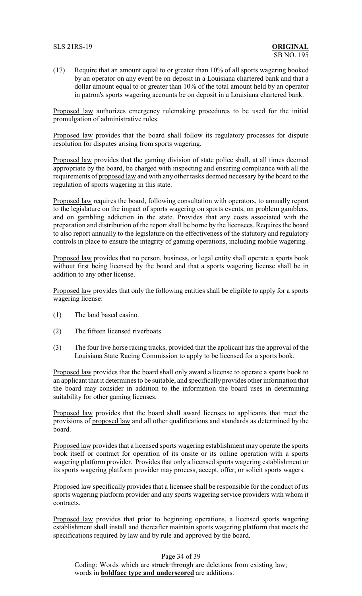#### SLS 21RS-19 **ORIGINAL**

(17) Require that an amount equal to or greater than 10% of all sports wagering booked by an operator on any event be on deposit in a Louisiana chartered bank and that a dollar amount equal to or greater than 10% of the total amount held by an operator in patron's sports wagering accounts be on deposit in a Louisiana chartered bank.

Proposed law authorizes emergency rulemaking procedures to be used for the initial promulgation of administrative rules.

Proposed law provides that the board shall follow its regulatory processes for dispute resolution for disputes arising from sports wagering.

Proposed law provides that the gaming division of state police shall, at all times deemed appropriate by the board, be charged with inspecting and ensuring compliance with all the requirements of proposed law and with any other tasks deemed necessary by the board to the regulation of sports wagering in this state.

Proposed law requires the board, following consultation with operators, to annually report to the legislature on the impact of sports wagering on sports events, on problem gamblers, and on gambling addiction in the state. Provides that any costs associated with the preparation and distribution of the report shall be borne by the licensees. Requires the board to also report annually to the legislature on the effectiveness of the statutory and regulatory controls in place to ensure the integrity of gaming operations, including mobile wagering.

Proposed law provides that no person, business, or legal entity shall operate a sports book without first being licensed by the board and that a sports wagering license shall be in addition to any other license.

Proposed law provides that only the following entities shall be eligible to apply for a sports wagering license:

- (1) The land based casino.
- (2) The fifteen licensed riverboats.
- (3) The four live horse racing tracks, provided that the applicant has the approval of the Louisiana State Racing Commission to apply to be licensed for a sports book.

Proposed law provides that the board shall only award a license to operate a sports book to an applicant that it determines to be suitable, and specificallyprovides other information that the board may consider in addition to the information the board uses in determining suitability for other gaming licenses.

Proposed law provides that the board shall award licenses to applicants that meet the provisions of proposed law and all other qualifications and standards as determined by the board.

Proposed law provides that a licensed sports wagering establishment may operate the sports book itself or contract for operation of its onsite or its online operation with a sports wagering platform provider. Provides that only a licensed sports wagering establishment or its sports wagering platform provider may process, accept, offer, or solicit sports wagers.

Proposed law specifically provides that a licensee shall be responsible for the conduct of its sports wagering platform provider and any sports wagering service providers with whom it contracts.

Proposed law provides that prior to beginning operations, a licensed sports wagering establishment shall install and thereafter maintain sports wagering platform that meets the specifications required by law and by rule and approved by the board.

#### Page 34 of 39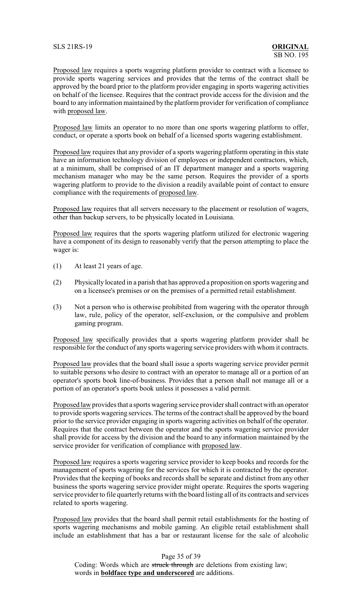SLS 21RS-19 **ORIGINAL**

Proposed law requires a sports wagering platform provider to contract with a licensee to provide sports wagering services and provides that the terms of the contract shall be approved by the board prior to the platform provider engaging in sports wagering activities on behalf of the licensee. Requires that the contract provide access for the division and the board to any information maintained by the platform provider for verification of compliance with proposed law.

Proposed law limits an operator to no more than one sports wagering platform to offer, conduct, or operate a sports book on behalf of a licensed sports wagering establishment.

Proposed law requires that any provider of a sports wagering platform operating in this state have an information technology division of employees or independent contractors, which, at a minimum, shall be comprised of an IT department manager and a sports wagering mechanism manager who may be the same person. Requires the provider of a sports wagering platform to provide to the division a readily available point of contact to ensure compliance with the requirements of proposed law.

Proposed law requires that all servers necessary to the placement or resolution of wagers, other than backup servers, to be physically located in Louisiana.

Proposed law requires that the sports wagering platform utilized for electronic wagering have a component of its design to reasonably verify that the person attempting to place the wager is:

- (1) At least 21 years of age.
- (2) Physically located in a parish that has approved a proposition on sports wagering and on a licensee's premises or on the premises of a permitted retail establishment.
- (3) Not a person who is otherwise prohibited from wagering with the operator through law, rule, policy of the operator, self-exclusion, or the compulsive and problem gaming program.

Proposed law specifically provides that a sports wagering platform provider shall be responsible for the conduct of any sports wagering service providers with whom it contracts.

Proposed law provides that the board shall issue a sports wagering service provider permit to suitable persons who desire to contract with an operator to manage all or a portion of an operator's sports book line-of-business. Provides that a person shall not manage all or a portion of an operator's sports book unless it possesses a valid permit.

Proposed law provides that a sports wagering service provider shall contract with an operator to provide sports wagering services. The terms of the contract shall be approved by the board prior to the service provider engaging in sports wagering activities on behalf of the operator. Requires that the contract between the operator and the sports wagering service provider shall provide for access by the division and the board to any information maintained by the service provider for verification of compliance with proposed law.

Proposed law requires a sports wagering service provider to keep books and records for the management of sports wagering for the services for which it is contracted by the operator. Provides that the keeping of books and records shall be separate and distinct from any other business the sports wagering service provider might operate. Requires the sports wagering service provider to file quarterly returns with the board listing all of its contracts and services related to sports wagering.

Proposed law provides that the board shall permit retail establishments for the hosting of sports wagering mechanisms and mobile gaming. An eligible retail establishment shall include an establishment that has a bar or restaurant license for the sale of alcoholic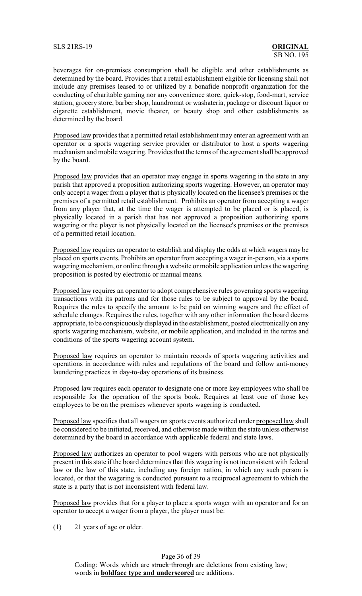beverages for on-premises consumption shall be eligible and other establishments as determined by the board. Provides that a retail establishment eligible for licensing shall not include any premises leased to or utilized by a bonafide nonprofit organization for the conducting of charitable gaming nor any convenience store, quick-stop, food-mart, service station, grocery store, barber shop, laundromat or washateria, package or discount liquor or cigarette establishment, movie theater, or beauty shop and other establishments as determined by the board.

Proposed law provides that a permitted retail establishment may enter an agreement with an operator or a sports wagering service provider or distributor to host a sports wagering mechanism and mobile wagering. Provides that the terms of the agreement shall be approved by the board.

Proposed law provides that an operator may engage in sports wagering in the state in any parish that approved a proposition authorizing sports wagering. However, an operator may only accept a wager from a player that is physically located on the licensee's premises or the premises of a permitted retail establishment. Prohibits an operator from accepting a wager from any player that, at the time the wager is attempted to be placed or is placed, is physically located in a parish that has not approved a proposition authorizing sports wagering or the player is not physically located on the licensee's premises or the premises of a permitted retail location.

Proposed law requires an operator to establish and display the odds at which wagers may be placed on sports events. Prohibits an operator from accepting a wager in-person, via a sports wagering mechanism, or online through a website or mobile application unless the wagering proposition is posted by electronic or manual means.

Proposed law requires an operator to adopt comprehensive rules governing sports wagering transactions with its patrons and for those rules to be subject to approval by the board. Requires the rules to specify the amount to be paid on winning wagers and the effect of schedule changes. Requires the rules, together with any other information the board deems appropriate, to be conspicuouslydisplayed in the establishment, posted electronically on any sports wagering mechanism, website, or mobile application, and included in the terms and conditions of the sports wagering account system.

Proposed law requires an operator to maintain records of sports wagering activities and operations in accordance with rules and regulations of the board and follow anti-money laundering practices in day-to-day operations of its business.

Proposed law requires each operator to designate one or more key employees who shall be responsible for the operation of the sports book. Requires at least one of those key employees to be on the premises whenever sports wagering is conducted.

Proposed law specifies that all wagers on sports events authorized under proposed law shall be considered to be initiated, received, and otherwise made within the state unless otherwise determined by the board in accordance with applicable federal and state laws.

Proposed law authorizes an operator to pool wagers with persons who are not physically present in this state if the board determines that this wagering is not inconsistent with federal law or the law of this state, including any foreign nation, in which any such person is located, or that the wagering is conducted pursuant to a reciprocal agreement to which the state is a party that is not inconsistent with federal law.

Proposed law provides that for a player to place a sports wager with an operator and for an operator to accept a wager from a player, the player must be:

(1) 21 years of age or older.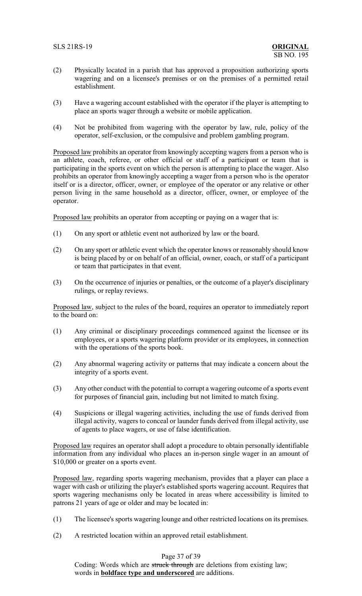- (2) Physically located in a parish that has approved a proposition authorizing sports wagering and on a licensee's premises or on the premises of a permitted retail establishment.
- (3) Have a wagering account established with the operator if the player is attempting to place an sports wager through a website or mobile application.
- (4) Not be prohibited from wagering with the operator by law, rule, policy of the operator, self-exclusion, or the compulsive and problem gambling program.

Proposed law prohibits an operator from knowingly accepting wagers from a person who is an athlete, coach, referee, or other official or staff of a participant or team that is participating in the sports event on which the person is attempting to place the wager. Also prohibits an operator from knowingly accepting a wager from a person who is the operator itself or is a director, officer, owner, or employee of the operator or any relative or other person living in the same household as a director, officer, owner, or employee of the operator.

Proposed law prohibits an operator from accepting or paying on a wager that is:

- (1) On any sport or athletic event not authorized by law or the board.
- (2) On any sport or athletic event which the operator knows or reasonably should know is being placed by or on behalf of an official, owner, coach, or staff of a participant or team that participates in that event.
- (3) On the occurrence of injuries or penalties, or the outcome of a player's disciplinary rulings, or replay reviews.

Proposed law, subject to the rules of the board, requires an operator to immediately report to the board on:

- (1) Any criminal or disciplinary proceedings commenced against the licensee or its employees, or a sports wagering platform provider or its employees, in connection with the operations of the sports book.
- (2) Any abnormal wagering activity or patterns that may indicate a concern about the integrity of a sports event.
- (3) Any other conduct with the potential to corrupt a wagering outcome of a sports event for purposes of financial gain, including but not limited to match fixing.
- (4) Suspicions or illegal wagering activities, including the use of funds derived from illegal activity, wagers to conceal or launder funds derived from illegal activity, use of agents to place wagers, or use of false identification.

Proposed law requires an operator shall adopt a procedure to obtain personally identifiable information from any individual who places an in-person single wager in an amount of \$10,000 or greater on a sports event.

Proposed law, regarding sports wagering mechanism, provides that a player can place a wager with cash or utilizing the player's established sports wagering account. Requires that sports wagering mechanisms only be located in areas where accessibility is limited to patrons 21 years of age or older and may be located in:

- (1) The licensee's sports wagering lounge and other restricted locations on its premises.
- (2) A restricted location within an approved retail establishment.

# Page 37 of 39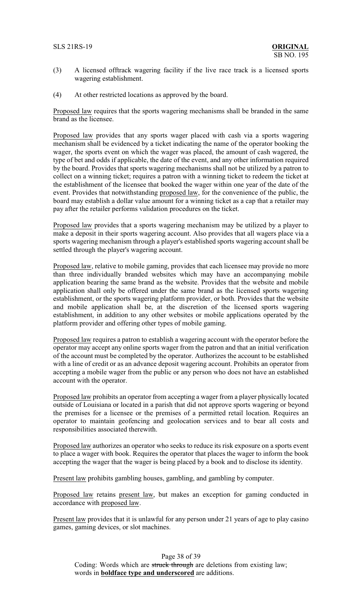## SLS 21RS-19 **ORIGINAL**

- (3) A licensed offtrack wagering facility if the live race track is a licensed sports wagering establishment.
- (4) At other restricted locations as approved by the board.

Proposed law requires that the sports wagering mechanisms shall be branded in the same brand as the licensee.

Proposed law provides that any sports wager placed with cash via a sports wagering mechanism shall be evidenced by a ticket indicating the name of the operator booking the wager, the sports event on which the wager was placed, the amount of cash wagered, the type of bet and odds if applicable, the date of the event, and any other information required by the board. Provides that sports wagering mechanisms shall not be utilized by a patron to collect on a winning ticket; requires a patron with a winning ticket to redeem the ticket at the establishment of the licensee that booked the wager within one year of the date of the event. Provides that notwithstanding proposed law, for the convenience of the public, the board may establish a dollar value amount for a winning ticket as a cap that a retailer may pay after the retailer performs validation procedures on the ticket.

Proposed law provides that a sports wagering mechanism may be utilized by a player to make a deposit in their sports wagering account. Also provides that all wagers place via a sports wagering mechanism through a player's established sports wagering account shall be settled through the player's wagering account.

Proposed law, relative to mobile gaming, provides that each licensee may provide no more than three individually branded websites which may have an accompanying mobile application bearing the same brand as the website. Provides that the website and mobile application shall only be offered under the same brand as the licensed sports wagering establishment, or the sports wagering platform provider, or both. Provides that the website and mobile application shall be, at the discretion of the licensed sports wagering establishment, in addition to any other websites or mobile applications operated by the platform provider and offering other types of mobile gaming.

Proposed law requires a patron to establish a wagering account with the operator before the operator may accept any online sports wager from the patron and that an initial verification of the account must be completed by the operator. Authorizes the account to be established with a line of credit or as an advance deposit wagering account. Prohibits an operator from accepting a mobile wager from the public or any person who does not have an established account with the operator.

Proposed law prohibits an operator from accepting a wager from a player physically located outside of Louisiana or located in a parish that did not approve sports wagering or beyond the premises for a licensee or the premises of a permitted retail location. Requires an operator to maintain geofencing and geolocation services and to bear all costs and responsibilities associated therewith.

Proposed law authorizes an operator who seeks to reduce its risk exposure on a sports event to place a wager with book. Requires the operator that places the wager to inform the book accepting the wager that the wager is being placed by a book and to disclose its identity.

Present law prohibits gambling houses, gambling, and gambling by computer.

Proposed law retains present law, but makes an exception for gaming conducted in accordance with proposed law.

Present law provides that it is unlawful for any person under 21 years of age to play casino games, gaming devices, or slot machines.